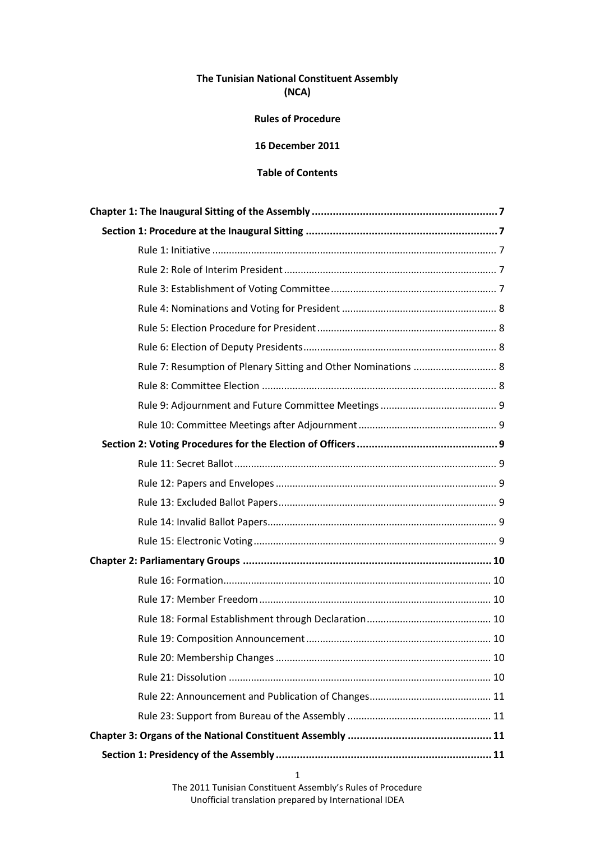# **The Tunisian National Constituent Assembly (NCA)**

### **Rules of Procedure**

# **16 December 2011**

# **Table of Contents**

| Rule 7: Resumption of Plenary Sitting and Other Nominations  8 |
|----------------------------------------------------------------|
|                                                                |
|                                                                |
|                                                                |
|                                                                |
|                                                                |
|                                                                |
|                                                                |
|                                                                |
|                                                                |
|                                                                |
|                                                                |
|                                                                |
|                                                                |
|                                                                |
|                                                                |
|                                                                |
|                                                                |
|                                                                |
|                                                                |
|                                                                |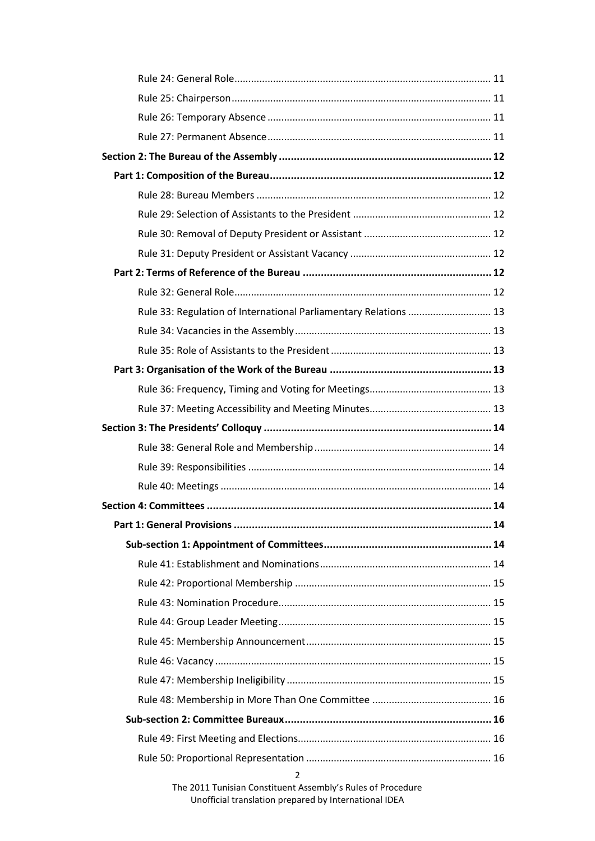| Rule 33: Regulation of International Parliamentary Relations  13 |  |
|------------------------------------------------------------------|--|
|                                                                  |  |
|                                                                  |  |
|                                                                  |  |
|                                                                  |  |
|                                                                  |  |
|                                                                  |  |
|                                                                  |  |
|                                                                  |  |
|                                                                  |  |
|                                                                  |  |
|                                                                  |  |
|                                                                  |  |
|                                                                  |  |
|                                                                  |  |
|                                                                  |  |
|                                                                  |  |
|                                                                  |  |
|                                                                  |  |
|                                                                  |  |
|                                                                  |  |
|                                                                  |  |
|                                                                  |  |
|                                                                  |  |
| 2                                                                |  |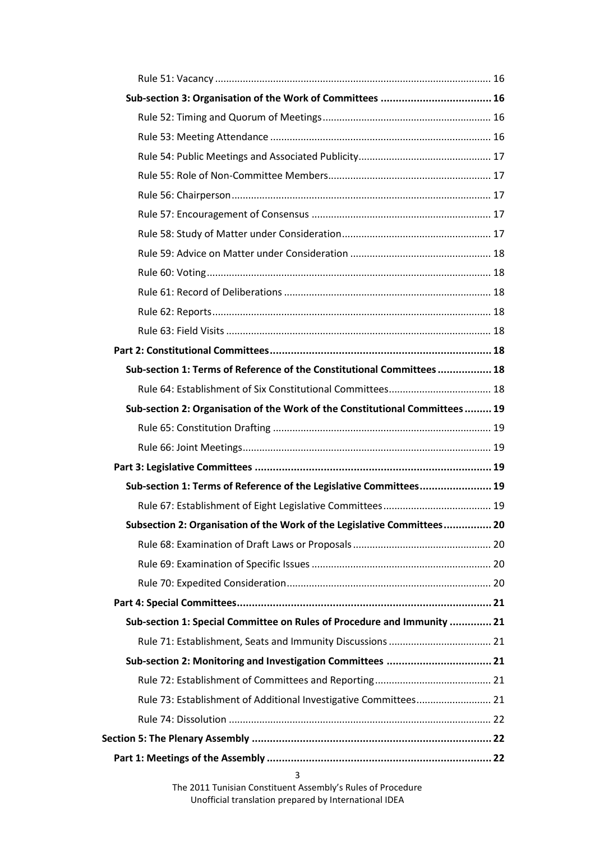| Sub-section 1: Terms of Reference of the Constitutional Committees 18       |  |
|-----------------------------------------------------------------------------|--|
|                                                                             |  |
| Sub-section 2: Organisation of the Work of the Constitutional Committees 19 |  |
|                                                                             |  |
|                                                                             |  |
|                                                                             |  |
| Sub-section 1: Terms of Reference of the Legislative Committees 19          |  |
|                                                                             |  |
| Subsection 2: Organisation of the Work of the Legislative Committees 20     |  |
|                                                                             |  |
|                                                                             |  |
|                                                                             |  |
|                                                                             |  |
| Sub-section 1: Special Committee on Rules of Procedure and Immunity  21     |  |
|                                                                             |  |
| Sub-section 2: Monitoring and Investigation Committees  21                  |  |
|                                                                             |  |
| Rule 73: Establishment of Additional Investigative Committees 21            |  |
|                                                                             |  |
|                                                                             |  |
|                                                                             |  |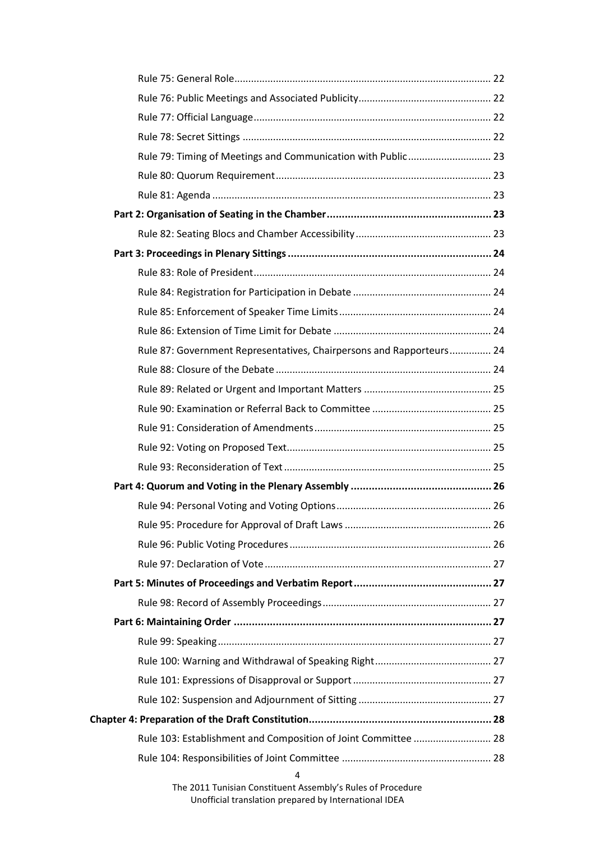| Rule 79: Timing of Meetings and Communication with Public 23         |  |
|----------------------------------------------------------------------|--|
|                                                                      |  |
|                                                                      |  |
|                                                                      |  |
|                                                                      |  |
|                                                                      |  |
|                                                                      |  |
|                                                                      |  |
|                                                                      |  |
|                                                                      |  |
| Rule 87: Government Representatives, Chairpersons and Rapporteurs 24 |  |
|                                                                      |  |
|                                                                      |  |
|                                                                      |  |
|                                                                      |  |
|                                                                      |  |
|                                                                      |  |
|                                                                      |  |
|                                                                      |  |
|                                                                      |  |
|                                                                      |  |
|                                                                      |  |
|                                                                      |  |
|                                                                      |  |
|                                                                      |  |
|                                                                      |  |
|                                                                      |  |
|                                                                      |  |
|                                                                      |  |
|                                                                      |  |
| Rule 103: Establishment and Composition of Joint Committee  28       |  |
|                                                                      |  |
| 4                                                                    |  |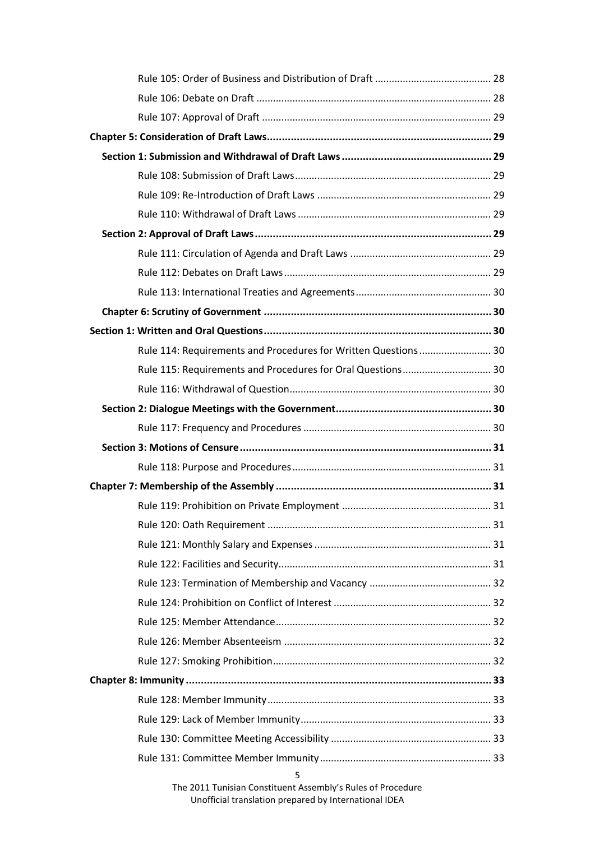| Rule 114: Requirements and Procedures for Written Questions 30 |  |
|----------------------------------------------------------------|--|
| Rule 115: Requirements and Procedures for Oral Questions 30    |  |
|                                                                |  |
|                                                                |  |
|                                                                |  |
|                                                                |  |
|                                                                |  |
|                                                                |  |
|                                                                |  |
|                                                                |  |
|                                                                |  |
|                                                                |  |
|                                                                |  |
|                                                                |  |
|                                                                |  |
|                                                                |  |
|                                                                |  |
|                                                                |  |
|                                                                |  |
|                                                                |  |
|                                                                |  |
|                                                                |  |
| 5                                                              |  |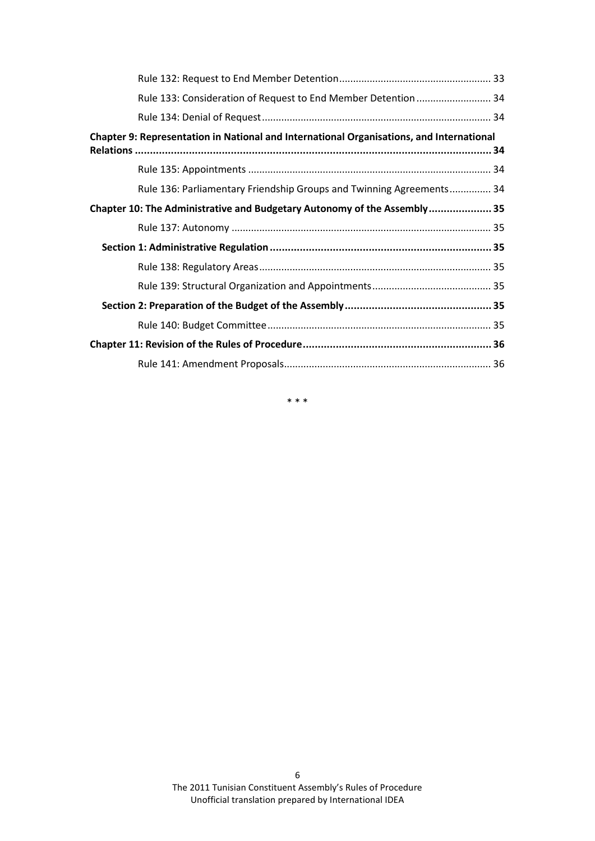| Rule 133: Consideration of Request to End Member Detention  34                           |  |
|------------------------------------------------------------------------------------------|--|
|                                                                                          |  |
| Chapter 9: Representation in National and International Organisations, and International |  |
|                                                                                          |  |
| Rule 136: Parliamentary Friendship Groups and Twinning Agreements 34                     |  |
| Chapter 10: The Administrative and Budgetary Autonomy of the Assembly 35                 |  |
|                                                                                          |  |
|                                                                                          |  |
|                                                                                          |  |
|                                                                                          |  |
|                                                                                          |  |
|                                                                                          |  |
|                                                                                          |  |
|                                                                                          |  |

\* \* \*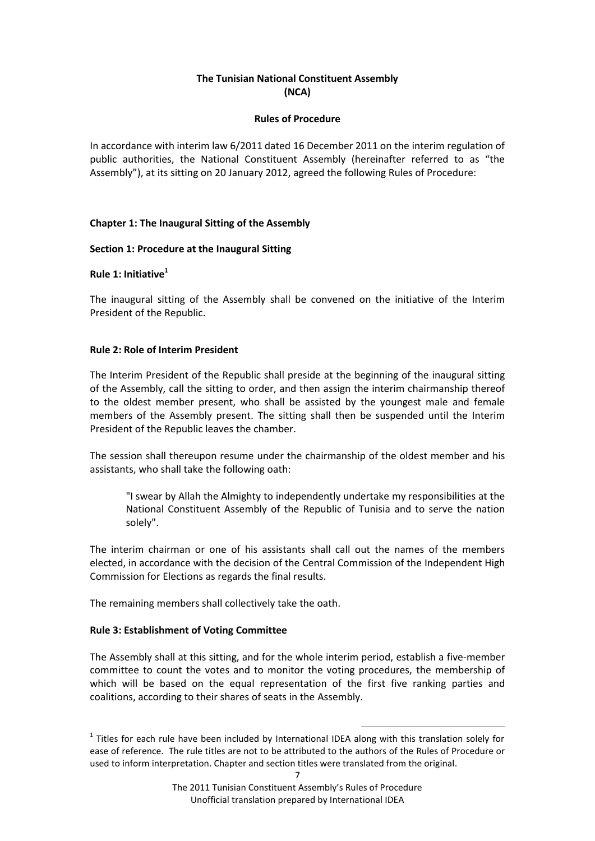# **The Tunisian National Constituent Assembly (NCA)**

### **Rules of Procedure**

In accordance with interim law 6/2011 dated 16 December 2011 on the interim regulation of public authorities, the National Constituent Assembly (hereinafter referred to as "the Assembly"), at its sitting on 20 January 2012, agreed the following Rules of Procedure:

## <span id="page-6-0"></span>**Chapter 1: The Inaugural Sitting of the Assembly**

### <span id="page-6-1"></span>**Section 1: Procedure at the Inaugural Sitting**

# <span id="page-6-2"></span>**Rule 1: Initiative<sup>1</sup>**

The inaugural sitting of the Assembly shall be convened on the initiative of the Interim President of the Republic.

### <span id="page-6-3"></span>**Rule 2: Role of Interim President**

The Interim President of the Republic shall preside at the beginning of the inaugural sitting of the Assembly, call the sitting to order, and then assign the interim chairmanship thereof to the oldest member present, who shall be assisted by the youngest male and female members of the Assembly present. The sitting shall then be suspended until the Interim President of the Republic leaves the chamber.

The session shall thereupon resume under the chairmanship of the oldest member and his assistants, who shall take the following oath:

"I swear by Allah the Almighty to independently undertake my responsibilities at the National Constituent Assembly of the Republic of Tunisia and to serve the nation solely".

The interim chairman or one of his assistants shall call out the names of the members elected, in accordance with the decision of the Central Commission of the Independent High Commission for Elections as regards the final results.

The remaining members shall collectively take the oath.

#### <span id="page-6-4"></span>**Rule 3: Establishment of Voting Committee**

The Assembly shall at this sitting, and for the whole interim period, establish a five-member committee to count the votes and to monitor the voting procedures, the membership of which will be based on the equal representation of the first five ranking parties and coalitions, according to their shares of seats in the Assembly.

1

 $<sup>1</sup>$  Titles for each rule have been included by International IDEA along with this translation solely for</sup> ease of reference. The rule titles are not to be attributed to the authors of the Rules of Procedure or used to inform interpretation. Chapter and section titles were translated from the original.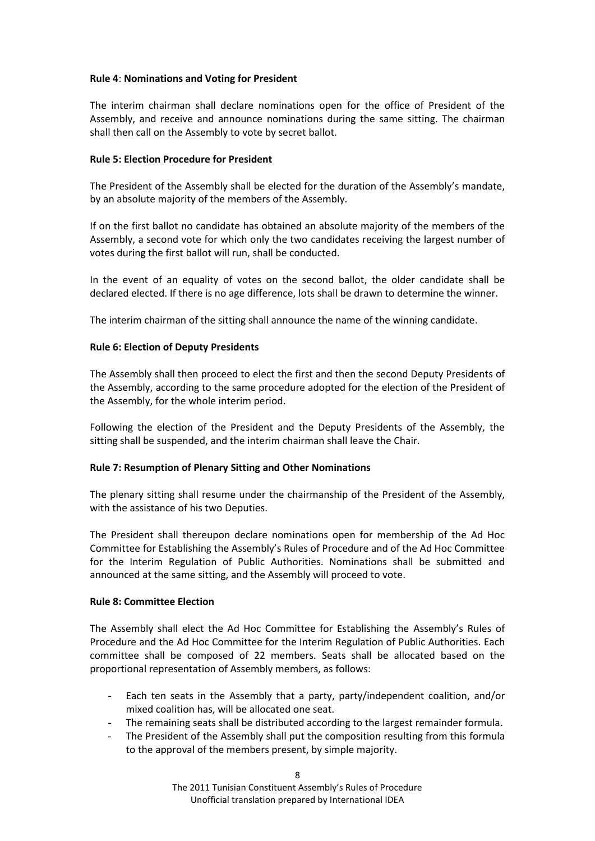## <span id="page-7-0"></span>**Rule 4**: **Nominations and Voting for President**

The interim chairman shall declare nominations open for the office of President of the Assembly, and receive and announce nominations during the same sitting. The chairman shall then call on the Assembly to vote by secret ballot.

### <span id="page-7-1"></span>**Rule 5: Election Procedure for President**

The President of the Assembly shall be elected for the duration of the Assembly's mandate, by an absolute majority of the members of the Assembly.

If on the first ballot no candidate has obtained an absolute majority of the members of the Assembly, a second vote for which only the two candidates receiving the largest number of votes during the first ballot will run, shall be conducted.

In the event of an equality of votes on the second ballot, the older candidate shall be declared elected. If there is no age difference, lots shall be drawn to determine the winner.

The interim chairman of the sitting shall announce the name of the winning candidate.

### <span id="page-7-2"></span>**Rule 6: Election of Deputy Presidents**

The Assembly shall then proceed to elect the first and then the second Deputy Presidents of the Assembly, according to the same procedure adopted for the election of the President of the Assembly, for the whole interim period.

Following the election of the President and the Deputy Presidents of the Assembly, the sitting shall be suspended, and the interim chairman shall leave the Chair.

## <span id="page-7-3"></span>**Rule 7: Resumption of Plenary Sitting and Other Nominations**

The plenary sitting shall resume under the chairmanship of the President of the Assembly, with the assistance of his two Deputies.

The President shall thereupon declare nominations open for membership of the Ad Hoc Committee for Establishing the Assembly's Rules of Procedure and of the Ad Hoc Committee for the Interim Regulation of Public Authorities. Nominations shall be submitted and announced at the same sitting, and the Assembly will proceed to vote.

#### <span id="page-7-4"></span>**Rule 8: Committee Election**

The Assembly shall elect the Ad Hoc Committee for Establishing the Assembly's Rules of Procedure and the Ad Hoc Committee for the Interim Regulation of Public Authorities. Each committee shall be composed of 22 members. Seats shall be allocated based on the proportional representation of Assembly members, as follows:

- Each ten seats in the Assembly that a party, party/independent coalition, and/or mixed coalition has, will be allocated one seat.
- The remaining seats shall be distributed according to the largest remainder formula.
- The President of the Assembly shall put the composition resulting from this formula to the approval of the members present, by simple majority.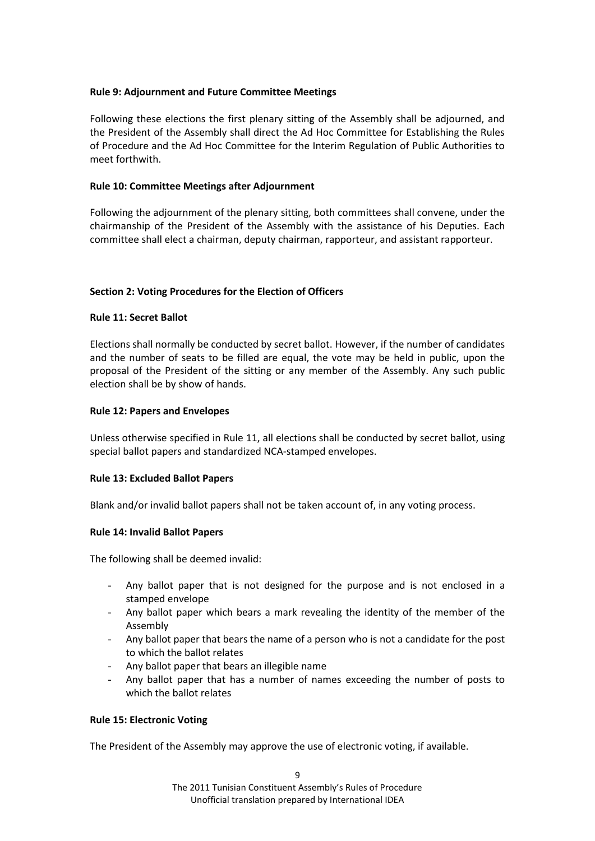## <span id="page-8-0"></span>**Rule 9: Adjournment and Future Committee Meetings**

Following these elections the first plenary sitting of the Assembly shall be adjourned, and the President of the Assembly shall direct the Ad Hoc Committee for Establishing the Rules of Procedure and the Ad Hoc Committee for the Interim Regulation of Public Authorities to meet forthwith.

### <span id="page-8-1"></span>**Rule 10: Committee Meetings after Adjournment**

Following the adjournment of the plenary sitting, both committees shall convene, under the chairmanship of the President of the Assembly with the assistance of his Deputies. Each committee shall elect a chairman, deputy chairman, rapporteur, and assistant rapporteur.

### <span id="page-8-2"></span>**Section 2: Voting Procedures for the Election of Officers**

### <span id="page-8-3"></span>**Rule 11: Secret Ballot**

Elections shall normally be conducted by secret ballot. However, if the number of candidates and the number of seats to be filled are equal, the vote may be held in public, upon the proposal of the President of the sitting or any member of the Assembly. Any such public election shall be by show of hands.

### <span id="page-8-4"></span>**Rule 12: Papers and Envelopes**

Unless otherwise specified in Rule 11, all elections shall be conducted by secret ballot, using special ballot papers and standardized NCA-stamped envelopes.

#### <span id="page-8-5"></span>**Rule 13: Excluded Ballot Papers**

Blank and/or invalid ballot papers shall not be taken account of, in any voting process.

#### <span id="page-8-6"></span>**Rule 14: Invalid Ballot Papers**

The following shall be deemed invalid:

- Any ballot paper that is not designed for the purpose and is not enclosed in a stamped envelope
- Any ballot paper which bears a mark revealing the identity of the member of the Assembly
- Any ballot paper that bears the name of a person who is not a candidate for the post to which the ballot relates
- Any ballot paper that bears an illegible name
- Any ballot paper that has a number of names exceeding the number of posts to which the ballot relates

#### <span id="page-8-7"></span>**Rule 15: Electronic Voting**

The President of the Assembly may approve the use of electronic voting, if available.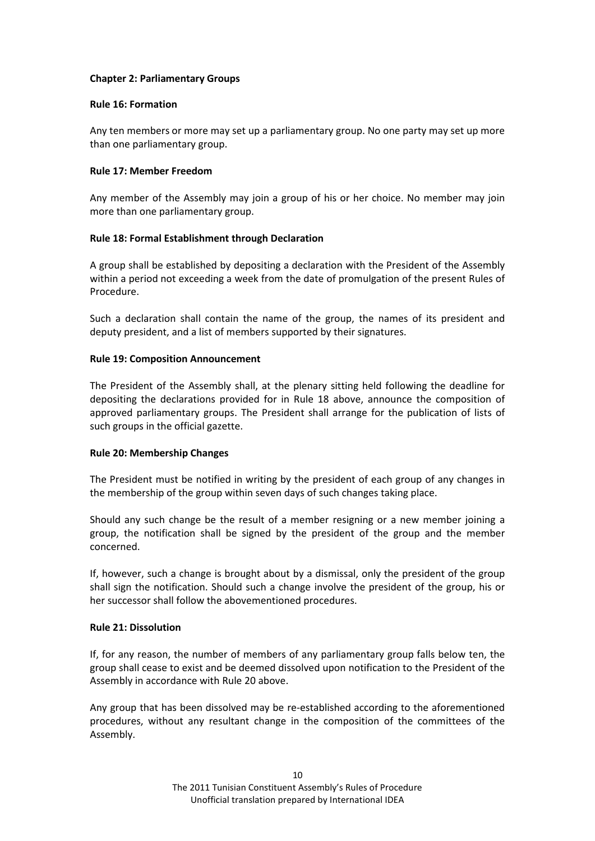## <span id="page-9-0"></span>**Chapter 2: Parliamentary Groups**

### <span id="page-9-1"></span>**Rule 16: Formation**

Any ten members or more may set up a parliamentary group. No one party may set up more than one parliamentary group.

### <span id="page-9-2"></span>**Rule 17: Member Freedom**

Any member of the Assembly may join a group of his or her choice. No member may join more than one parliamentary group.

## <span id="page-9-3"></span>**Rule 18: Formal Establishment through Declaration**

A group shall be established by depositing a declaration with the President of the Assembly within a period not exceeding a week from the date of promulgation of the present Rules of Procedure.

Such a declaration shall contain the name of the group, the names of its president and deputy president, and a list of members supported by their signatures.

### <span id="page-9-4"></span>**Rule 19: Composition Announcement**

The President of the Assembly shall, at the plenary sitting held following the deadline for depositing the declarations provided for in Rule 18 above, announce the composition of approved parliamentary groups. The President shall arrange for the publication of lists of such groups in the official gazette.

## <span id="page-9-5"></span>**Rule 20: Membership Changes**

The President must be notified in writing by the president of each group of any changes in the membership of the group within seven days of such changes taking place.

Should any such change be the result of a member resigning or a new member joining a group, the notification shall be signed by the president of the group and the member concerned.

If, however, such a change is brought about by a dismissal, only the president of the group shall sign the notification. Should such a change involve the president of the group, his or her successor shall follow the abovementioned procedures.

#### <span id="page-9-6"></span>**Rule 21: Dissolution**

If, for any reason, the number of members of any parliamentary group falls below ten, the group shall cease to exist and be deemed dissolved upon notification to the President of the Assembly in accordance with Rule 20 above.

Any group that has been dissolved may be re-established according to the aforementioned procedures, without any resultant change in the composition of the committees of the Assembly.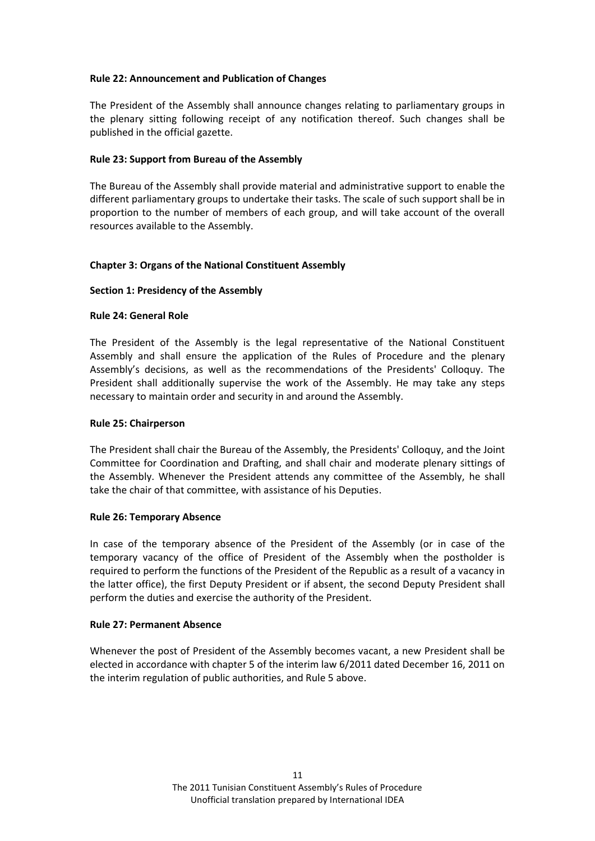## <span id="page-10-0"></span>**Rule 22: Announcement and Publication of Changes**

The President of the Assembly shall announce changes relating to parliamentary groups in the plenary sitting following receipt of any notification thereof. Such changes shall be published in the official gazette.

# <span id="page-10-1"></span>**Rule 23: Support from Bureau of the Assembly**

The Bureau of the Assembly shall provide material and administrative support to enable the different parliamentary groups to undertake their tasks. The scale of such support shall be in proportion to the number of members of each group, and will take account of the overall resources available to the Assembly.

# <span id="page-10-2"></span>**Chapter 3: Organs of the National Constituent Assembly**

# <span id="page-10-3"></span>**Section 1: Presidency of the Assembly**

# <span id="page-10-4"></span>**Rule 24: General Role**

The President of the Assembly is the legal representative of the National Constituent Assembly and shall ensure the application of the Rules of Procedure and the plenary Assembly's decisions, as well as the recommendations of the Presidents' Colloquy. The President shall additionally supervise the work of the Assembly. He may take any steps necessary to maintain order and security in and around the Assembly.

## <span id="page-10-5"></span>**Rule 25: Chairperson**

The President shall chair the Bureau of the Assembly, the Presidents' Colloquy, and the Joint Committee for Coordination and Drafting, and shall chair and moderate plenary sittings of the Assembly. Whenever the President attends any committee of the Assembly, he shall take the chair of that committee, with assistance of his Deputies.

## <span id="page-10-6"></span>**Rule 26: Temporary Absence**

In case of the temporary absence of the President of the Assembly (or in case of the temporary vacancy of the office of President of the Assembly when the postholder is required to perform the functions of the President of the Republic as a result of a vacancy in the latter office), the first Deputy President or if absent, the second Deputy President shall perform the duties and exercise the authority of the President.

## <span id="page-10-7"></span>**Rule 27: Permanent Absence**

Whenever the post of President of the Assembly becomes vacant, a new President shall be elected in accordance with chapter 5 of the interim law 6/2011 dated December 16, 2011 on the interim regulation of public authorities, and Rule 5 above.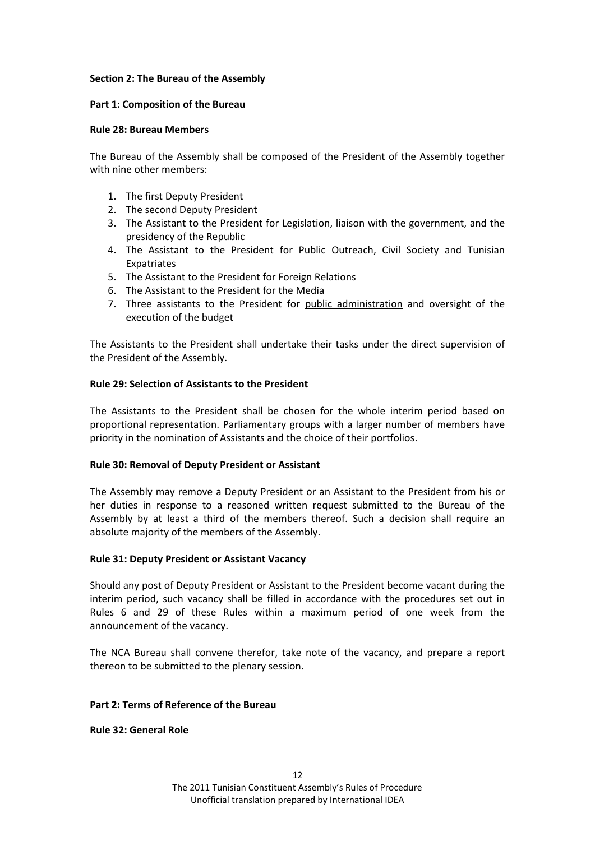### <span id="page-11-0"></span>**Section 2: The Bureau of the Assembly**

### <span id="page-11-1"></span>**Part 1: Composition of the Bureau**

### <span id="page-11-2"></span>**Rule 28: Bureau Members**

The Bureau of the Assembly shall be composed of the President of the Assembly together with nine other members:

- 1. The first Deputy President
- 2. The second Deputy President
- 3. The Assistant to the President for Legislation, liaison with the government, and the presidency of the Republic
- 4. The Assistant to the President for Public Outreach, Civil Society and Tunisian Expatriates
- 5. The Assistant to the President for Foreign Relations
- 6. The Assistant to the President for the Media
- 7. Three assistants to the President for public administration and oversight of the execution of the budget

The Assistants to the President shall undertake their tasks under the direct supervision of the President of the Assembly.

## <span id="page-11-3"></span>**Rule 29: Selection of Assistants to the President**

The Assistants to the President shall be chosen for the whole interim period based on proportional representation. Parliamentary groups with a larger number of members have priority in the nomination of Assistants and the choice of their portfolios.

## <span id="page-11-4"></span>**Rule 30: Removal of Deputy President or Assistant**

The Assembly may remove a Deputy President or an Assistant to the President from his or her duties in response to a reasoned written request submitted to the Bureau of the Assembly by at least a third of the members thereof. Such a decision shall require an absolute majority of the members of the Assembly.

## <span id="page-11-5"></span>**Rule 31: Deputy President or Assistant Vacancy**

Should any post of Deputy President or Assistant to the President become vacant during the interim period, such vacancy shall be filled in accordance with the procedures set out in Rules 6 and 29 of these Rules within a maximum period of one week from the announcement of the vacancy.

The NCA Bureau shall convene therefor, take note of the vacancy, and prepare a report thereon to be submitted to the plenary session.

#### <span id="page-11-6"></span>**Part 2: Terms of Reference of the Bureau**

<span id="page-11-7"></span>**Rule 32: General Role**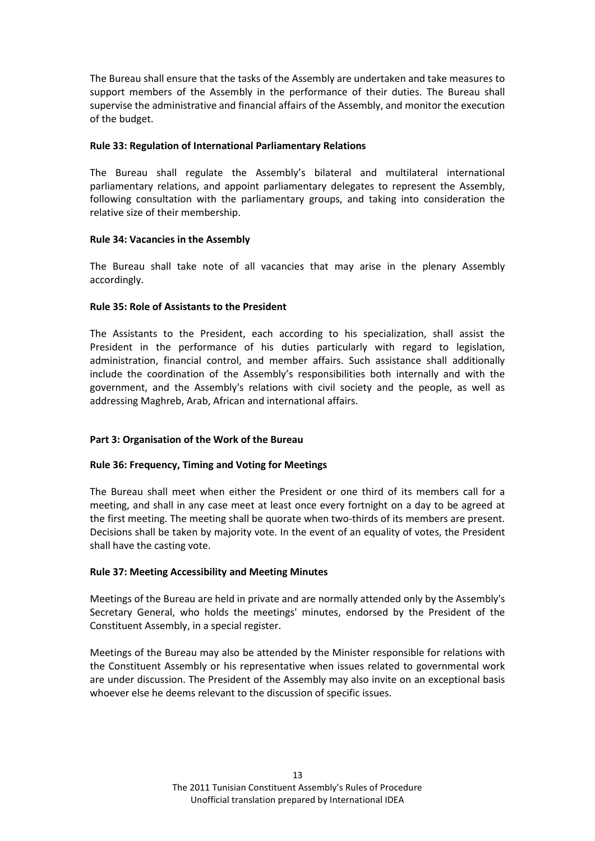The Bureau shall ensure that the tasks of the Assembly are undertaken and take measures to support members of the Assembly in the performance of their duties. The Bureau shall supervise the administrative and financial affairs of the Assembly, and monitor the execution of the budget.

### <span id="page-12-0"></span>**Rule 33: Regulation of International Parliamentary Relations**

The Bureau shall regulate the Assembly's bilateral and multilateral international parliamentary relations, and appoint parliamentary delegates to represent the Assembly, following consultation with the parliamentary groups, and taking into consideration the relative size of their membership.

### <span id="page-12-1"></span>**Rule 34: Vacancies in the Assembly**

The Bureau shall take note of all vacancies that may arise in the plenary Assembly accordingly.

### <span id="page-12-2"></span>**Rule 35: Role of Assistants to the President**

The Assistants to the President, each according to his specialization, shall assist the President in the performance of his duties particularly with regard to legislation, administration, financial control, and member affairs. Such assistance shall additionally include the coordination of the Assembly's responsibilities both internally and with the government, and the Assembly's relations with civil society and the people, as well as addressing Maghreb, Arab, African and international affairs.

## <span id="page-12-3"></span>**Part 3: Organisation of the Work of the Bureau**

## <span id="page-12-4"></span>**Rule 36: Frequency, Timing and Voting for Meetings**

The Bureau shall meet when either the President or one third of its members call for a meeting, and shall in any case meet at least once every fortnight on a day to be agreed at the first meeting. The meeting shall be quorate when two-thirds of its members are present. Decisions shall be taken by majority vote. In the event of an equality of votes, the President shall have the casting vote.

#### <span id="page-12-5"></span>**Rule 37: Meeting Accessibility and Meeting Minutes**

Meetings of the Bureau are held in private and are normally attended only by the Assembly's Secretary General, who holds the meetings' minutes, endorsed by the President of the Constituent Assembly, in a special register.

Meetings of the Bureau may also be attended by the Minister responsible for relations with the Constituent Assembly or his representative when issues related to governmental work are under discussion. The President of the Assembly may also invite on an exceptional basis whoever else he deems relevant to the discussion of specific issues.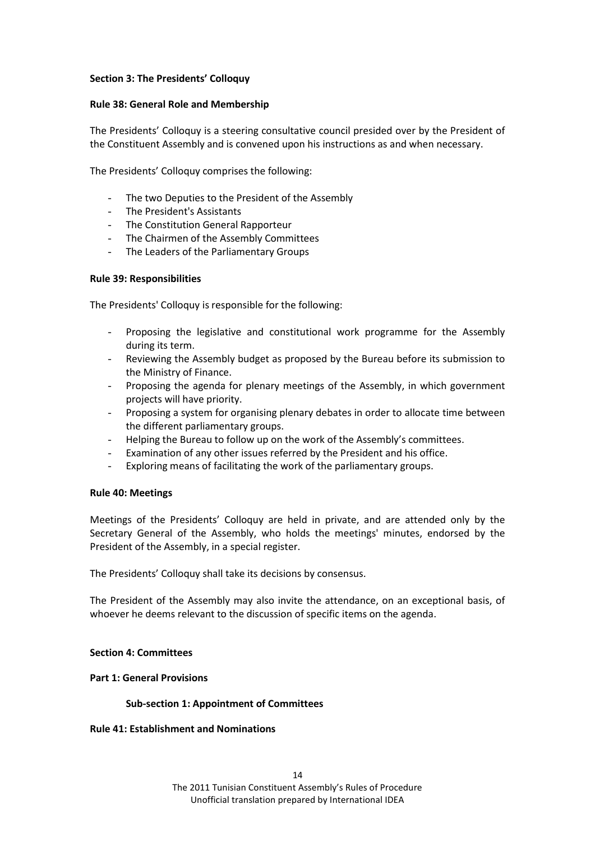### <span id="page-13-0"></span>**Section 3: The Presidents' Colloquy**

### <span id="page-13-1"></span>**Rule 38: General Role and Membership**

The Presidents' Colloquy is a steering consultative council presided over by the President of the Constituent Assembly and is convened upon his instructions as and when necessary.

The Presidents' Colloquy comprises the following:

- The two Deputies to the President of the Assembly
- The President's Assistants
- The Constitution General Rapporteur
- The Chairmen of the Assembly Committees
- The Leaders of the Parliamentary Groups

### <span id="page-13-2"></span>**Rule 39: Responsibilities**

The Presidents' Colloquy is responsible for the following:

- Proposing the legislative and constitutional work programme for the Assembly during its term.
- Reviewing the Assembly budget as proposed by the Bureau before its submission to the Ministry of Finance.
- Proposing the agenda for plenary meetings of the Assembly, in which government projects will have priority.
- Proposing a system for organising plenary debates in order to allocate time between the different parliamentary groups.
- Helping the Bureau to follow up on the work of the Assembly's committees.
- Examination of any other issues referred by the President and his office.
- Exploring means of facilitating the work of the parliamentary groups.

#### <span id="page-13-3"></span>**Rule 40: Meetings**

Meetings of the Presidents' Colloquy are held in private, and are attended only by the Secretary General of the Assembly, who holds the meetings' minutes, endorsed by the President of the Assembly, in a special register.

The Presidents' Colloquy shall take its decisions by consensus.

The President of the Assembly may also invite the attendance, on an exceptional basis, of whoever he deems relevant to the discussion of specific items on the agenda.

#### <span id="page-13-4"></span>**Section 4: Committees**

#### <span id="page-13-6"></span><span id="page-13-5"></span>**Part 1: General Provisions**

#### **Sub-section 1: Appointment of Committees**

<span id="page-13-7"></span>**Rule 41: Establishment and Nominations**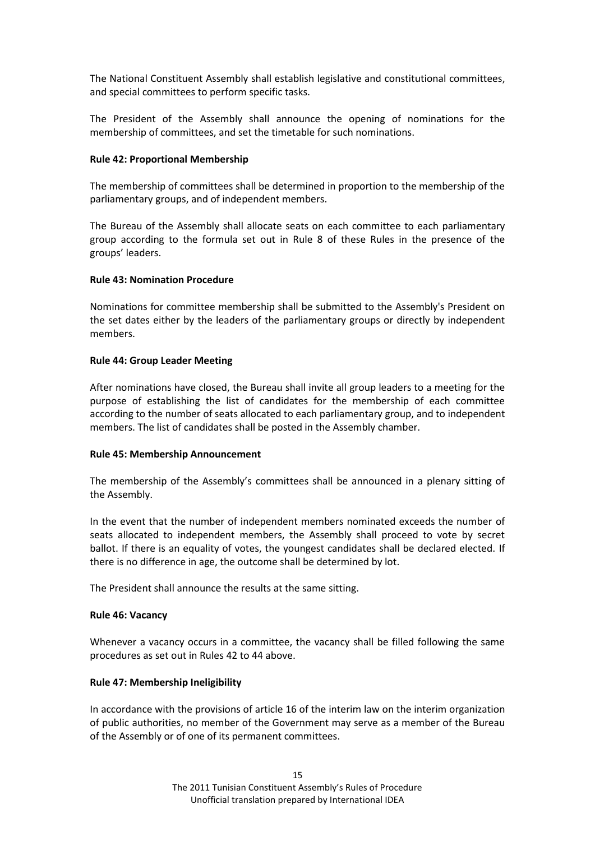The National Constituent Assembly shall establish legislative and constitutional committees, and special committees to perform specific tasks.

The President of the Assembly shall announce the opening of nominations for the membership of committees, and set the timetable for such nominations.

### <span id="page-14-0"></span>**Rule 42: Proportional Membership**

The membership of committees shall be determined in proportion to the membership of the parliamentary groups, and of independent members.

The Bureau of the Assembly shall allocate seats on each committee to each parliamentary group according to the formula set out in Rule 8 of these Rules in the presence of the groups' leaders.

### <span id="page-14-1"></span>**Rule 43: Nomination Procedure**

Nominations for committee membership shall be submitted to the Assembly's President on the set dates either by the leaders of the parliamentary groups or directly by independent members.

### <span id="page-14-2"></span>**Rule 44: Group Leader Meeting**

After nominations have closed, the Bureau shall invite all group leaders to a meeting for the purpose of establishing the list of candidates for the membership of each committee according to the number of seats allocated to each parliamentary group, and to independent members. The list of candidates shall be posted in the Assembly chamber.

## <span id="page-14-3"></span>**Rule 45: Membership Announcement**

The membership of the Assembly's committees shall be announced in a plenary sitting of the Assembly.

In the event that the number of independent members nominated exceeds the number of seats allocated to independent members, the Assembly shall proceed to vote by secret ballot. If there is an equality of votes, the youngest candidates shall be declared elected. If there is no difference in age, the outcome shall be determined by lot.

The President shall announce the results at the same sitting.

#### <span id="page-14-4"></span>**Rule 46: Vacancy**

Whenever a vacancy occurs in a committee, the vacancy shall be filled following the same procedures as set out in Rules 42 to 44 above.

## <span id="page-14-5"></span>**Rule 47: Membership Ineligibility**

In accordance with the provisions of article 16 of the interim law on the interim organization of public authorities, no member of the Government may serve as a member of the Bureau of the Assembly or of one of its permanent committees.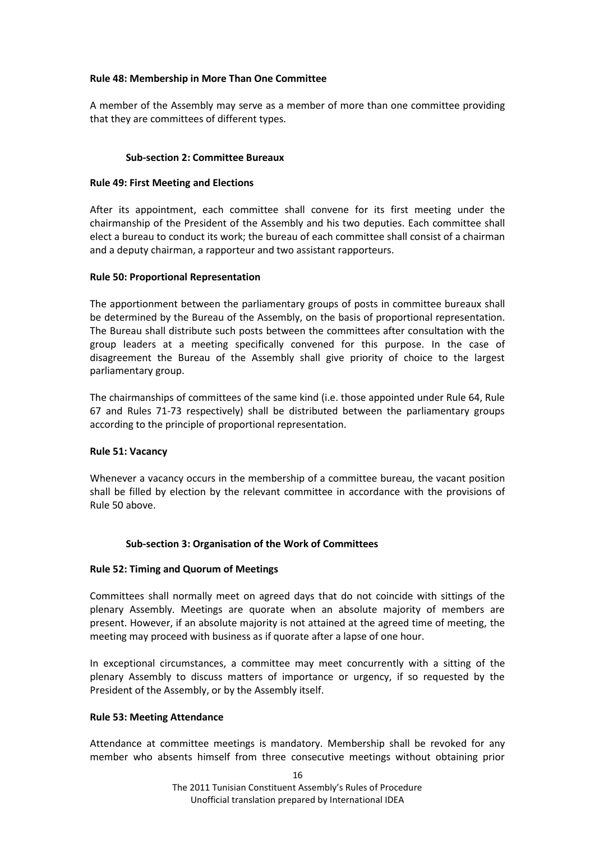## <span id="page-15-0"></span>**Rule 48: Membership in More Than One Committee**

A member of the Assembly may serve as a member of more than one committee providing that they are committees of different types.

### **Sub-section 2: Committee Bureaux**

### <span id="page-15-2"></span><span id="page-15-1"></span>**Rule 49: First Meeting and Elections**

After its appointment, each committee shall convene for its first meeting under the chairmanship of the President of the Assembly and his two deputies. Each committee shall elect a bureau to conduct its work; the bureau of each committee shall consist of a chairman and a deputy chairman, a rapporteur and two assistant rapporteurs.

### <span id="page-15-3"></span>**Rule 50: Proportional Representation**

The apportionment between the parliamentary groups of posts in committee bureaux shall be determined by the Bureau of the Assembly, on the basis of proportional representation. The Bureau shall distribute such posts between the committees after consultation with the group leaders at a meeting specifically convened for this purpose. In the case of disagreement the Bureau of the Assembly shall give priority of choice to the largest parliamentary group.

The chairmanships of committees of the same kind (i.e. those appointed under Rule 64, Rule 67 and Rules 71-73 respectively) shall be distributed between the parliamentary groups according to the principle of proportional representation.

## <span id="page-15-4"></span>**Rule 51: Vacancy**

Whenever a vacancy occurs in the membership of a committee bureau, the vacant position shall be filled by election by the relevant committee in accordance with the provisions of Rule 50 above.

## **Sub-section 3: Organisation of the Work of Committees**

#### <span id="page-15-6"></span><span id="page-15-5"></span>**Rule 52: Timing and Quorum of Meetings**

Committees shall normally meet on agreed days that do not coincide with sittings of the plenary Assembly. Meetings are quorate when an absolute majority of members are present. However, if an absolute majority is not attained at the agreed time of meeting, the meeting may proceed with business as if quorate after a lapse of one hour.

In exceptional circumstances, a committee may meet concurrently with a sitting of the plenary Assembly to discuss matters of importance or urgency, if so requested by the President of the Assembly, or by the Assembly itself.

#### <span id="page-15-7"></span>**Rule 53: Meeting Attendance**

Attendance at committee meetings is mandatory. Membership shall be revoked for any member who absents himself from three consecutive meetings without obtaining prior

16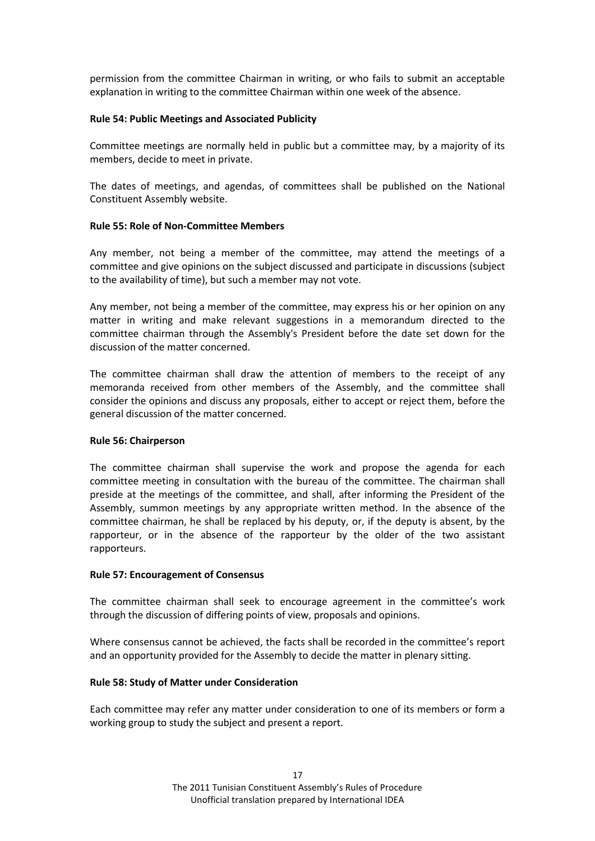permission from the committee Chairman in writing, or who fails to submit an acceptable explanation in writing to the committee Chairman within one week of the absence.

### <span id="page-16-0"></span>**Rule 54: Public Meetings and Associated Publicity**

Committee meetings are normally held in public but a committee may, by a majority of its members, decide to meet in private.

The dates of meetings, and agendas, of committees shall be published on the National Constituent Assembly website.

### <span id="page-16-1"></span>**Rule 55: Role of Non-Committee Members**

Any member, not being a member of the committee, may attend the meetings of a committee and give opinions on the subject discussed and participate in discussions (subject to the availability of time), but such a member may not vote.

Any member, not being a member of the committee, may express his or her opinion on any matter in writing and make relevant suggestions in a memorandum directed to the committee chairman through the Assembly's President before the date set down for the discussion of the matter concerned.

The committee chairman shall draw the attention of members to the receipt of any memoranda received from other members of the Assembly, and the committee shall consider the opinions and discuss any proposals, either to accept or reject them, before the general discussion of the matter concerned.

## <span id="page-16-2"></span>**Rule 56: Chairperson**

The committee chairman shall supervise the work and propose the agenda for each committee meeting in consultation with the bureau of the committee. The chairman shall preside at the meetings of the committee, and shall, after informing the President of the Assembly, summon meetings by any appropriate written method. In the absence of the committee chairman, he shall be replaced by his deputy, or, if the deputy is absent, by the rapporteur, or in the absence of the rapporteur by the older of the two assistant rapporteurs.

#### <span id="page-16-3"></span>**Rule 57: Encouragement of Consensus**

The committee chairman shall seek to encourage agreement in the committee's work through the discussion of differing points of view, proposals and opinions.

Where consensus cannot be achieved, the facts shall be recorded in the committee's report and an opportunity provided for the Assembly to decide the matter in plenary sitting.

## <span id="page-16-4"></span>**Rule 58: Study of Matter under Consideration**

Each committee may refer any matter under consideration to one of its members or form a working group to study the subject and present a report.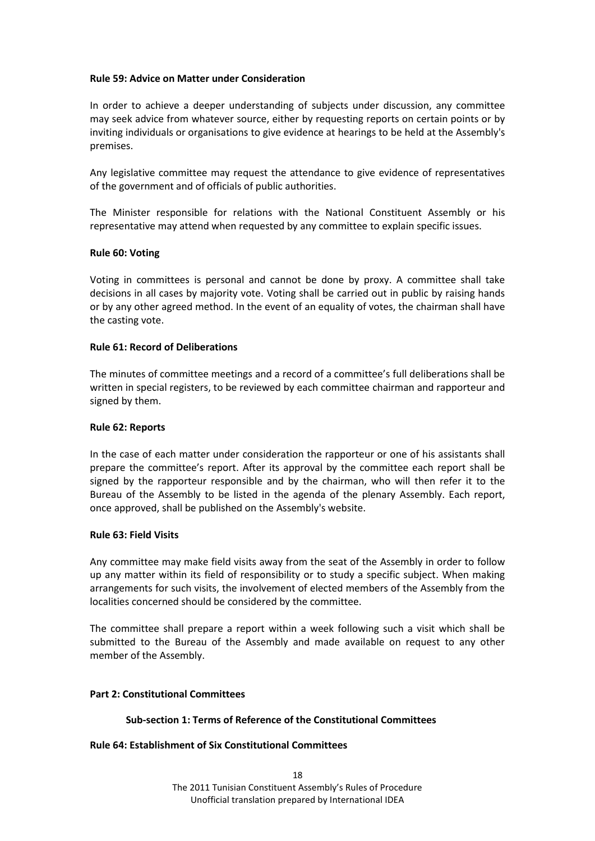### <span id="page-17-0"></span>**Rule 59: Advice on Matter under Consideration**

In order to achieve a deeper understanding of subjects under discussion, any committee may seek advice from whatever source, either by requesting reports on certain points or by inviting individuals or organisations to give evidence at hearings to be held at the Assembly's premises.

Any legislative committee may request the attendance to give evidence of representatives of the government and of officials of public authorities.

The Minister responsible for relations with the National Constituent Assembly or his representative may attend when requested by any committee to explain specific issues.

### <span id="page-17-1"></span>**Rule 60: Voting**

Voting in committees is personal and cannot be done by proxy. A committee shall take decisions in all cases by majority vote. Voting shall be carried out in public by raising hands or by any other agreed method. In the event of an equality of votes, the chairman shall have the casting vote.

### <span id="page-17-2"></span>**Rule 61: Record of Deliberations**

The minutes of committee meetings and a record of a committee's full deliberations shall be written in special registers, to be reviewed by each committee chairman and rapporteur and signed by them.

#### <span id="page-17-3"></span>**Rule 62: Reports**

In the case of each matter under consideration the rapporteur or one of his assistants shall prepare the committee's report. After its approval by the committee each report shall be signed by the rapporteur responsible and by the chairman, who will then refer it to the Bureau of the Assembly to be listed in the agenda of the plenary Assembly. Each report, once approved, shall be published on the Assembly's website.

#### <span id="page-17-4"></span>**Rule 63: Field Visits**

Any committee may make field visits away from the seat of the Assembly in order to follow up any matter within its field of responsibility or to study a specific subject. When making arrangements for such visits, the involvement of elected members of the Assembly from the localities concerned should be considered by the committee.

The committee shall prepare a report within a week following such a visit which shall be submitted to the Bureau of the Assembly and made available on request to any other member of the Assembly.

#### <span id="page-17-6"></span><span id="page-17-5"></span>**Part 2: Constitutional Committees**

## **Sub-section 1: Terms of Reference of the Constitutional Committees**

#### <span id="page-17-7"></span>**Rule 64: Establishment of Six Constitutional Committees**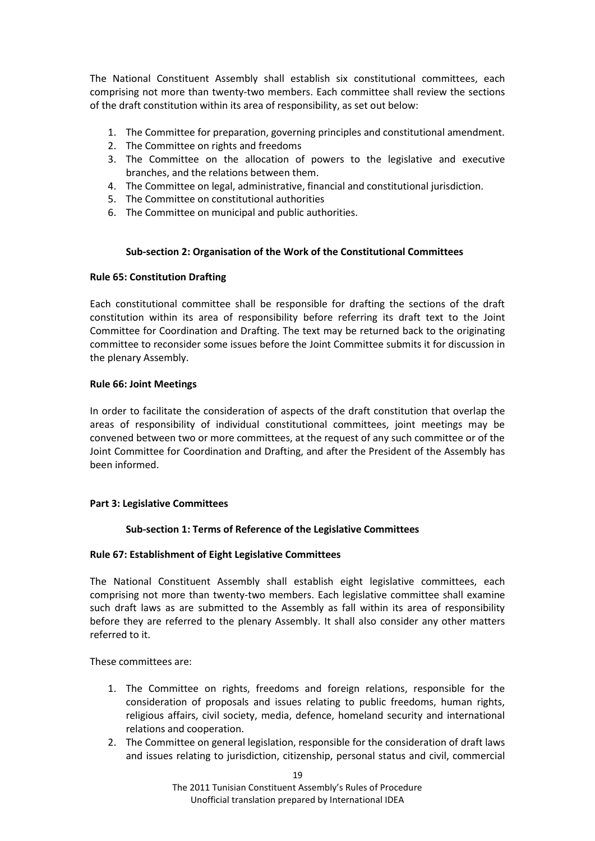The National Constituent Assembly shall establish six constitutional committees, each comprising not more than twenty-two members. Each committee shall review the sections of the draft constitution within its area of responsibility, as set out below:

- 1. The Committee for preparation, governing principles and constitutional amendment.
- 2. The Committee on rights and freedoms
- 3. The Committee on the allocation of powers to the legislative and executive branches, and the relations between them.
- 4. The Committee on legal, administrative, financial and constitutional jurisdiction.
- 5. The Committee on constitutional authorities
- <span id="page-18-0"></span>6. The Committee on municipal and public authorities.

## **Sub-section 2: Organisation of the Work of the Constitutional Committees**

## <span id="page-18-1"></span>**Rule 65: Constitution Drafting**

Each constitutional committee shall be responsible for drafting the sections of the draft constitution within its area of responsibility before referring its draft text to the Joint Committee for Coordination and Drafting. The text may be returned back to the originating committee to reconsider some issues before the Joint Committee submits it for discussion in the plenary Assembly.

### <span id="page-18-2"></span>**Rule 66: Joint Meetings**

In order to facilitate the consideration of aspects of the draft constitution that overlap the areas of responsibility of individual constitutional committees, joint meetings may be convened between two or more committees, at the request of any such committee or of the Joint Committee for Coordination and Drafting, and after the President of the Assembly has been informed.

## <span id="page-18-4"></span><span id="page-18-3"></span>**Part 3: Legislative Committees**

## **Sub-section 1: Terms of Reference of the Legislative Committees**

## <span id="page-18-5"></span>**Rule 67: Establishment of Eight Legislative Committees**

The National Constituent Assembly shall establish eight legislative committees, each comprising not more than twenty-two members. Each legislative committee shall examine such draft laws as are submitted to the Assembly as fall within its area of responsibility before they are referred to the plenary Assembly. It shall also consider any other matters referred to it.

These committees are:

- 1. The Committee on rights, freedoms and foreign relations, responsible for the consideration of proposals and issues relating to public freedoms, human rights, religious affairs, civil society, media, defence, homeland security and international relations and cooperation.
- 2. The Committee on general legislation, responsible for the consideration of draft laws and issues relating to jurisdiction, citizenship, personal status and civil, commercial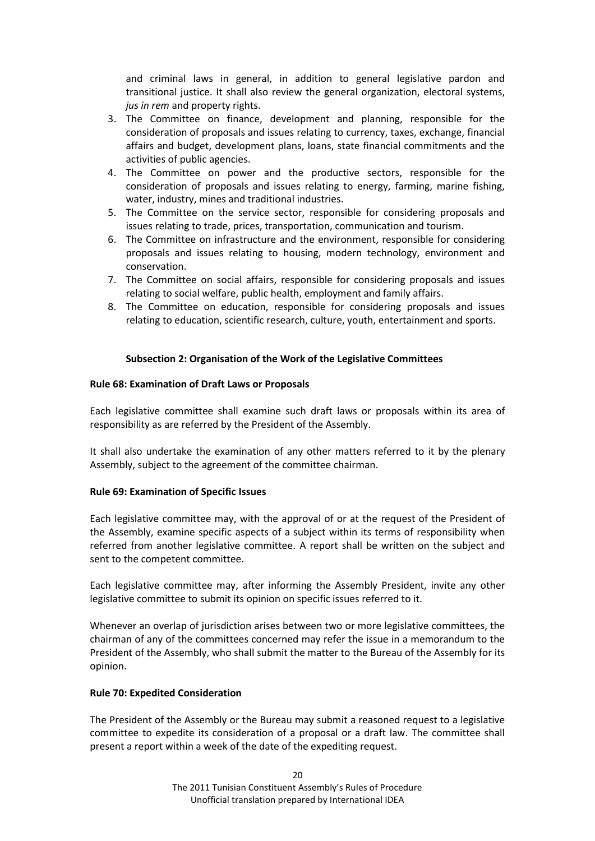and criminal laws in general, in addition to general legislative pardon and transitional justice. It shall also review the general organization, electoral systems, *jus in rem* and property rights.

- 3. The Committee on finance, development and planning, responsible for the consideration of proposals and issues relating to currency, taxes, exchange, financial affairs and budget, development plans, loans, state financial commitments and the activities of public agencies.
- 4. The Committee on power and the productive sectors, responsible for the consideration of proposals and issues relating to energy, farming, marine fishing, water, industry, mines and traditional industries.
- 5. The Committee on the service sector, responsible for considering proposals and issues relating to trade, prices, transportation, communication and tourism.
- 6. The Committee on infrastructure and the environment, responsible for considering proposals and issues relating to housing, modern technology, environment and conservation.
- 7. The Committee on social affairs, responsible for considering proposals and issues relating to social welfare, public health, employment and family affairs.
- 8. The Committee on education, responsible for considering proposals and issues relating to education, scientific research, culture, youth, entertainment and sports.

# **Subsection 2: Organisation of the Work of the Legislative Committees**

## <span id="page-19-1"></span><span id="page-19-0"></span>**Rule 68: Examination of Draft Laws or Proposals**

Each legislative committee shall examine such draft laws or proposals within its area of responsibility as are referred by the President of the Assembly.

It shall also undertake the examination of any other matters referred to it by the plenary Assembly, subject to the agreement of the committee chairman.

## <span id="page-19-2"></span>**Rule 69: Examination of Specific Issues**

Each legislative committee may, with the approval of or at the request of the President of the Assembly, examine specific aspects of a subject within its terms of responsibility when referred from another legislative committee. A report shall be written on the subject and sent to the competent committee.

Each legislative committee may, after informing the Assembly President, invite any other legislative committee to submit its opinion on specific issues referred to it.

Whenever an overlap of jurisdiction arises between two or more legislative committees, the chairman of any of the committees concerned may refer the issue in a memorandum to the President of the Assembly, who shall submit the matter to the Bureau of the Assembly for its opinion.

## <span id="page-19-3"></span>**Rule 70: Expedited Consideration**

The President of the Assembly or the Bureau may submit a reasoned request to a legislative committee to expedite its consideration of a proposal or a draft law. The committee shall present a report within a week of the date of the expediting request.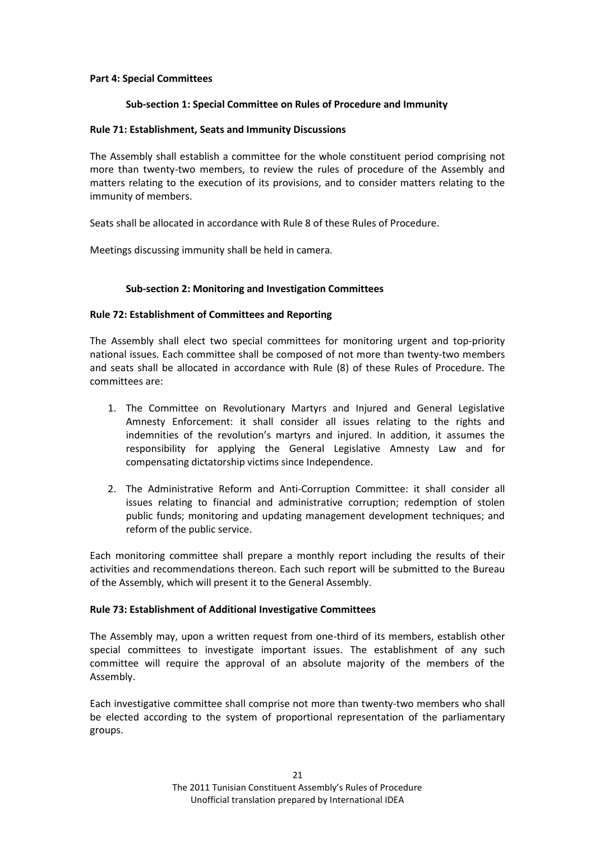### <span id="page-20-1"></span><span id="page-20-0"></span>**Part 4: Special Committees**

### **Sub-section 1: Special Committee on Rules of Procedure and Immunity**

### <span id="page-20-2"></span>**Rule 71: Establishment, Seats and Immunity Discussions**

The Assembly shall establish a committee for the whole constituent period comprising not more than twenty-two members, to review the rules of procedure of the Assembly and matters relating to the execution of its provisions, and to consider matters relating to the immunity of members.

Seats shall be allocated in accordance with Rule 8 of these Rules of Procedure.

<span id="page-20-3"></span>Meetings discussing immunity shall be held in camera.

## **Sub-section 2: Monitoring and Investigation Committees**

### <span id="page-20-4"></span>**Rule 72: Establishment of Committees and Reporting**

The Assembly shall elect two special committees for monitoring urgent and top-priority national issues. Each committee shall be composed of not more than twenty-two members and seats shall be allocated in accordance with Rule (8) of these Rules of Procedure. The committees are:

- 1. The Committee on Revolutionary Martyrs and Injured and General Legislative Amnesty Enforcement: it shall consider all issues relating to the rights and indemnities of the revolution's martyrs and injured. In addition, it assumes the responsibility for applying the General Legislative Amnesty Law and for compensating dictatorship victims since Independence.
- 2. The Administrative Reform and Anti-Corruption Committee: it shall consider all issues relating to financial and administrative corruption; redemption of stolen public funds; monitoring and updating management development techniques; and reform of the public service.

Each monitoring committee shall prepare a monthly report including the results of their activities and recommendations thereon. Each such report will be submitted to the Bureau of the Assembly, which will present it to the General Assembly.

## <span id="page-20-5"></span>**Rule 73: Establishment of Additional Investigative Committees**

The Assembly may, upon a written request from one-third of its members, establish other special committees to investigate important issues. The establishment of any such committee will require the approval of an absolute majority of the members of the Assembly.

Each investigative committee shall comprise not more than twenty-two members who shall be elected according to the system of proportional representation of the parliamentary groups.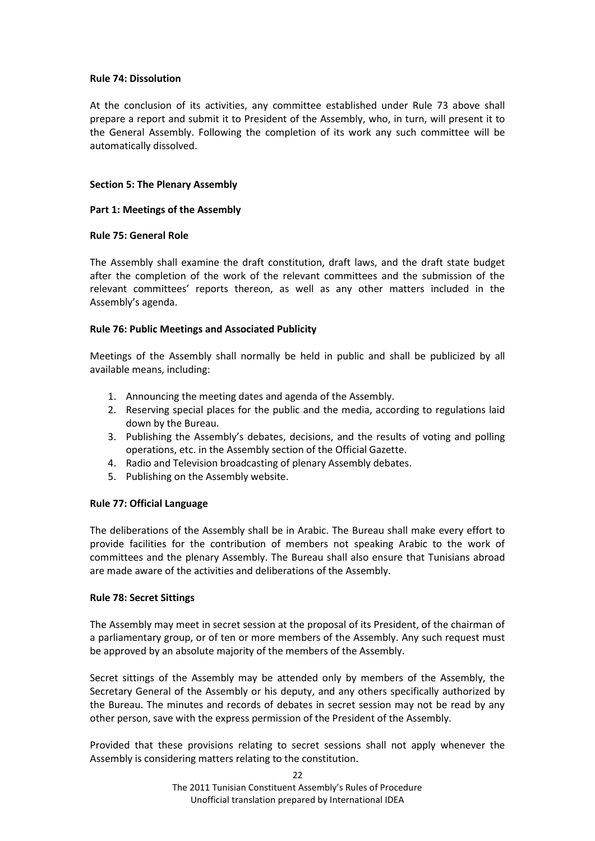### <span id="page-21-0"></span>**Rule 74: Dissolution**

At the conclusion of its activities, any committee established under Rule 73 above shall prepare a report and submit it to President of the Assembly, who, in turn, will present it to the General Assembly. Following the completion of its work any such committee will be automatically dissolved.

## <span id="page-21-1"></span>**Section 5: The Plenary Assembly**

### <span id="page-21-2"></span>**Part 1: Meetings of the Assembly**

### <span id="page-21-3"></span>**Rule 75: General Role**

The Assembly shall examine the draft constitution, draft laws, and the draft state budget after the completion of the work of the relevant committees and the submission of the relevant committees' reports thereon, as well as any other matters included in the Assembly's agenda.

## <span id="page-21-4"></span>**Rule 76: Public Meetings and Associated Publicity**

Meetings of the Assembly shall normally be held in public and shall be publicized by all available means, including:

- 1. Announcing the meeting dates and agenda of the Assembly.
- 2. Reserving special places for the public and the media, according to regulations laid down by the Bureau.
- 3. Publishing the Assembly's debates, decisions, and the results of voting and polling operations, etc. in the Assembly section of the Official Gazette.
- 4. Radio and Television broadcasting of plenary Assembly debates.
- 5. Publishing on the Assembly website.

## <span id="page-21-5"></span>**Rule 77: Official Language**

The deliberations of the Assembly shall be in Arabic. The Bureau shall make every effort to provide facilities for the contribution of members not speaking Arabic to the work of committees and the plenary Assembly. The Bureau shall also ensure that Tunisians abroad are made aware of the activities and deliberations of the Assembly.

## <span id="page-21-6"></span>**Rule 78: Secret Sittings**

The Assembly may meet in secret session at the proposal of its President, of the chairman of a parliamentary group, or of ten or more members of the Assembly. Any such request must be approved by an absolute majority of the members of the Assembly.

Secret sittings of the Assembly may be attended only by members of the Assembly, the Secretary General of the Assembly or his deputy, and any others specifically authorized by the Bureau. The minutes and records of debates in secret session may not be read by any other person, save with the express permission of the President of the Assembly.

Provided that these provisions relating to secret sessions shall not apply whenever the Assembly is considering matters relating to the constitution.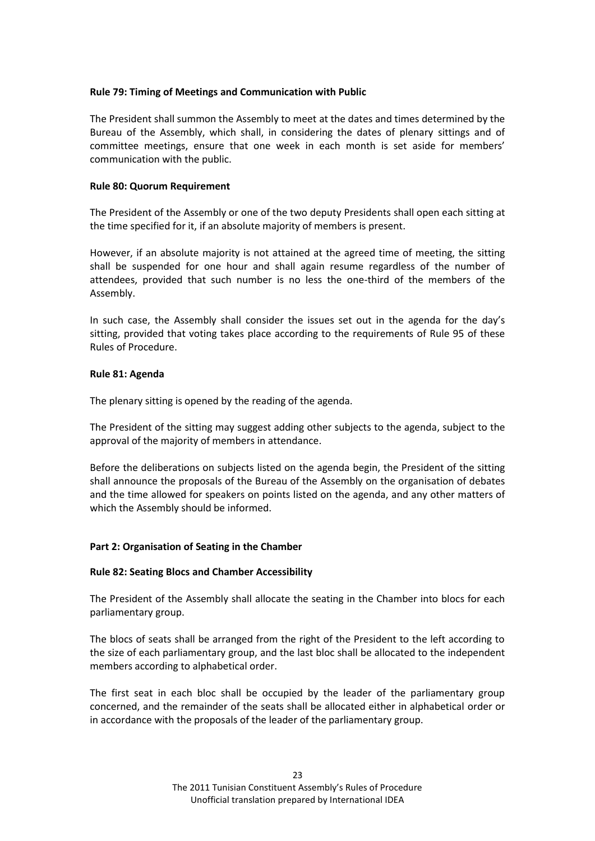## <span id="page-22-0"></span>**Rule 79: Timing of Meetings and Communication with Public**

The President shall summon the Assembly to meet at the dates and times determined by the Bureau of the Assembly, which shall, in considering the dates of plenary sittings and of committee meetings, ensure that one week in each month is set aside for members' communication with the public.

### <span id="page-22-1"></span>**Rule 80: Quorum Requirement**

The President of the Assembly or one of the two deputy Presidents shall open each sitting at the time specified for it, if an absolute majority of members is present.

However, if an absolute majority is not attained at the agreed time of meeting, the sitting shall be suspended for one hour and shall again resume regardless of the number of attendees, provided that such number is no less the one-third of the members of the Assembly.

In such case, the Assembly shall consider the issues set out in the agenda for the day's sitting, provided that voting takes place according to the requirements of Rule 95 of these Rules of Procedure.

#### <span id="page-22-2"></span>**Rule 81: Agenda**

The plenary sitting is opened by the reading of the agenda.

The President of the sitting may suggest adding other subjects to the agenda, subject to the approval of the majority of members in attendance.

Before the deliberations on subjects listed on the agenda begin, the President of the sitting shall announce the proposals of the Bureau of the Assembly on the organisation of debates and the time allowed for speakers on points listed on the agenda, and any other matters of which the Assembly should be informed.

## <span id="page-22-3"></span>**Part 2: Organisation of Seating in the Chamber**

#### <span id="page-22-4"></span>**Rule 82: Seating Blocs and Chamber Accessibility**

The President of the Assembly shall allocate the seating in the Chamber into blocs for each parliamentary group.

The blocs of seats shall be arranged from the right of the President to the left according to the size of each parliamentary group, and the last bloc shall be allocated to the independent members according to alphabetical order.

The first seat in each bloc shall be occupied by the leader of the parliamentary group concerned, and the remainder of the seats shall be allocated either in alphabetical order or in accordance with the proposals of the leader of the parliamentary group.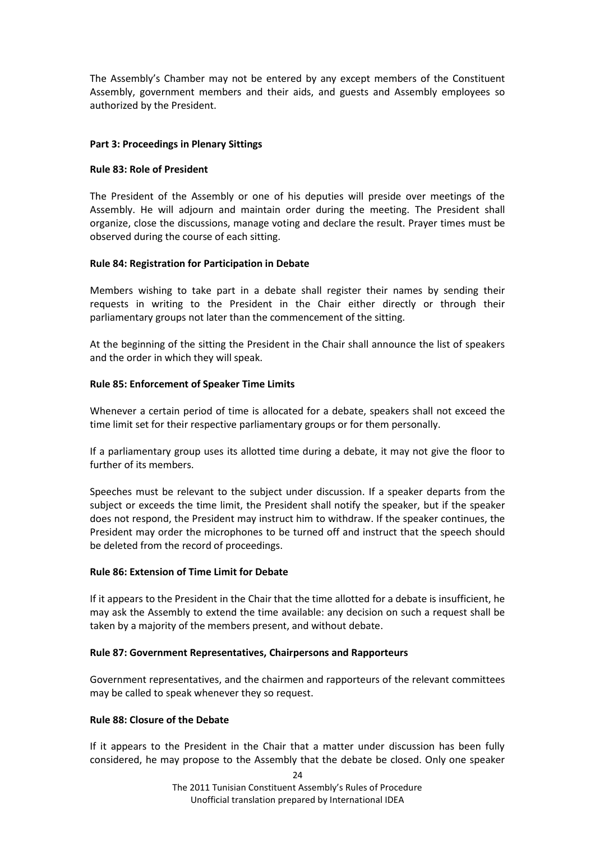The Assembly's Chamber may not be entered by any except members of the Constituent Assembly, government members and their aids, and guests and Assembly employees so authorized by the President.

## <span id="page-23-0"></span>**Part 3: Proceedings in Plenary Sittings**

### <span id="page-23-1"></span>**Rule 83: Role of President**

The President of the Assembly or one of his deputies will preside over meetings of the Assembly. He will adjourn and maintain order during the meeting. The President shall organize, close the discussions, manage voting and declare the result. Prayer times must be observed during the course of each sitting.

### <span id="page-23-2"></span>**Rule 84: Registration for Participation in Debate**

Members wishing to take part in a debate shall register their names by sending their requests in writing to the President in the Chair either directly or through their parliamentary groups not later than the commencement of the sitting.

At the beginning of the sitting the President in the Chair shall announce the list of speakers and the order in which they will speak.

### <span id="page-23-3"></span>**Rule 85: Enforcement of Speaker Time Limits**

Whenever a certain period of time is allocated for a debate, speakers shall not exceed the time limit set for their respective parliamentary groups or for them personally.

If a parliamentary group uses its allotted time during a debate, it may not give the floor to further of its members.

Speeches must be relevant to the subject under discussion. If a speaker departs from the subject or exceeds the time limit, the President shall notify the speaker, but if the speaker does not respond, the President may instruct him to withdraw. If the speaker continues, the President may order the microphones to be turned off and instruct that the speech should be deleted from the record of proceedings.

## <span id="page-23-4"></span>**Rule 86: Extension of Time Limit for Debate**

If it appears to the President in the Chair that the time allotted for a debate is insufficient, he may ask the Assembly to extend the time available: any decision on such a request shall be taken by a majority of the members present, and without debate.

#### <span id="page-23-5"></span>**Rule 87: Government Representatives, Chairpersons and Rapporteurs**

Government representatives, and the chairmen and rapporteurs of the relevant committees may be called to speak whenever they so request.

#### <span id="page-23-6"></span>**Rule 88: Closure of the Debate**

If it appears to the President in the Chair that a matter under discussion has been fully considered, he may propose to the Assembly that the debate be closed. Only one speaker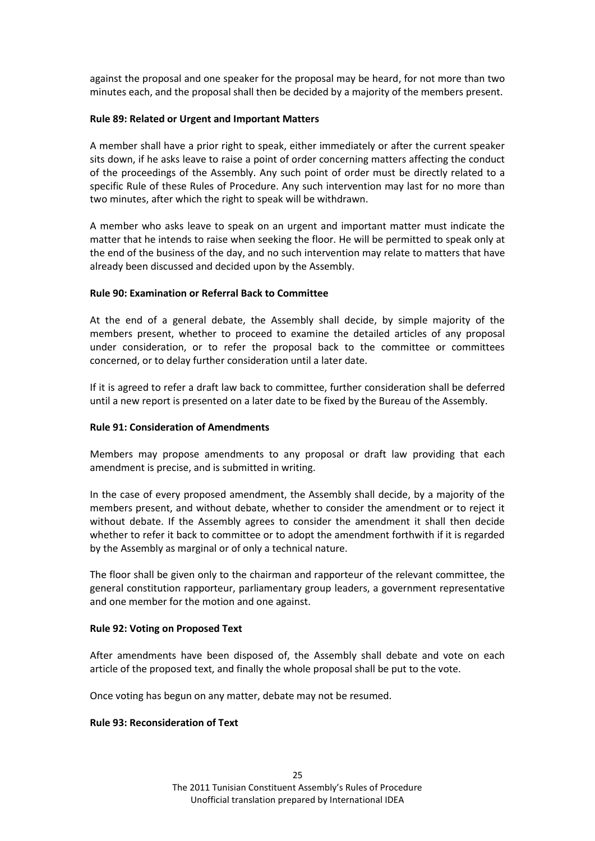against the proposal and one speaker for the proposal may be heard, for not more than two minutes each, and the proposal shall then be decided by a majority of the members present.

### <span id="page-24-0"></span>**Rule 89: Related or Urgent and Important Matters**

A member shall have a prior right to speak, either immediately or after the current speaker sits down, if he asks leave to raise a point of order concerning matters affecting the conduct of the proceedings of the Assembly. Any such point of order must be directly related to a specific Rule of these Rules of Procedure. Any such intervention may last for no more than two minutes, after which the right to speak will be withdrawn.

A member who asks leave to speak on an urgent and important matter must indicate the matter that he intends to raise when seeking the floor. He will be permitted to speak only at the end of the business of the day, and no such intervention may relate to matters that have already been discussed and decided upon by the Assembly.

### <span id="page-24-1"></span>**Rule 90: Examination or Referral Back to Committee**

At the end of a general debate, the Assembly shall decide, by simple majority of the members present, whether to proceed to examine the detailed articles of any proposal under consideration, or to refer the proposal back to the committee or committees concerned, or to delay further consideration until a later date.

If it is agreed to refer a draft law back to committee, further consideration shall be deferred until a new report is presented on a later date to be fixed by the Bureau of the Assembly.

#### <span id="page-24-2"></span>**Rule 91: Consideration of Amendments**

Members may propose amendments to any proposal or draft law providing that each amendment is precise, and is submitted in writing.

In the case of every proposed amendment, the Assembly shall decide, by a majority of the members present, and without debate, whether to consider the amendment or to reject it without debate. If the Assembly agrees to consider the amendment it shall then decide whether to refer it back to committee or to adopt the amendment forthwith if it is regarded by the Assembly as marginal or of only a technical nature.

The floor shall be given only to the chairman and rapporteur of the relevant committee, the general constitution rapporteur, parliamentary group leaders, a government representative and one member for the motion and one against.

#### <span id="page-24-3"></span>**Rule 92: Voting on Proposed Text**

After amendments have been disposed of, the Assembly shall debate and vote on each article of the proposed text, and finally the whole proposal shall be put to the vote.

Once voting has begun on any matter, debate may not be resumed.

#### <span id="page-24-4"></span>**Rule 93: Reconsideration of Text**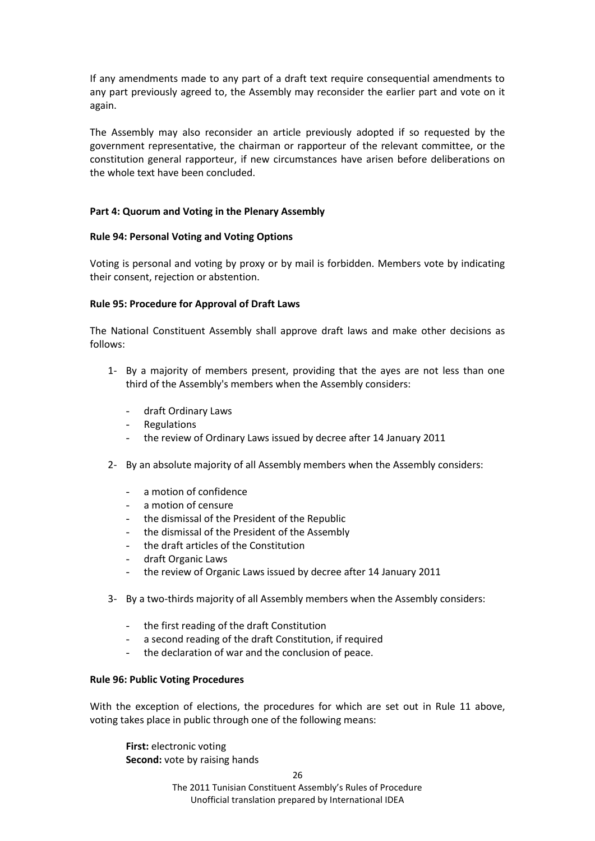If any amendments made to any part of a draft text require consequential amendments to any part previously agreed to, the Assembly may reconsider the earlier part and vote on it again.

The Assembly may also reconsider an article previously adopted if so requested by the government representative, the chairman or rapporteur of the relevant committee, or the constitution general rapporteur, if new circumstances have arisen before deliberations on the whole text have been concluded.

### <span id="page-25-0"></span>**Part 4: Quorum and Voting in the Plenary Assembly**

### <span id="page-25-1"></span>**Rule 94: Personal Voting and Voting Options**

Voting is personal and voting by proxy or by mail is forbidden. Members vote by indicating their consent, rejection or abstention.

### <span id="page-25-2"></span>**Rule 95: Procedure for Approval of Draft Laws**

The National Constituent Assembly shall approve draft laws and make other decisions as follows:

- 1- By a majority of members present, providing that the ayes are not less than one third of the Assembly's members when the Assembly considers:
	- draft Ordinary Laws
	- **Regulations**
	- the review of Ordinary Laws issued by decree after 14 January 2011
- 2- By an absolute majority of all Assembly members when the Assembly considers:
	- a motion of confidence
	- a motion of censure
	- the dismissal of the President of the Republic
	- the dismissal of the President of the Assembly
	- the draft articles of the Constitution
	- draft Organic Laws
	- the review of Organic Laws issued by decree after 14 January 2011
- 3- By a two-thirds majority of all Assembly members when the Assembly considers:
	- the first reading of the draft Constitution
	- a second reading of the draft Constitution, if required
	- the declaration of war and the conclusion of peace.

#### <span id="page-25-3"></span>**Rule 96: Public Voting Procedures**

With the exception of elections, the procedures for which are set out in Rule 11 above, voting takes place in public through one of the following means:

**First:** electronic voting **Second:** vote by raising hands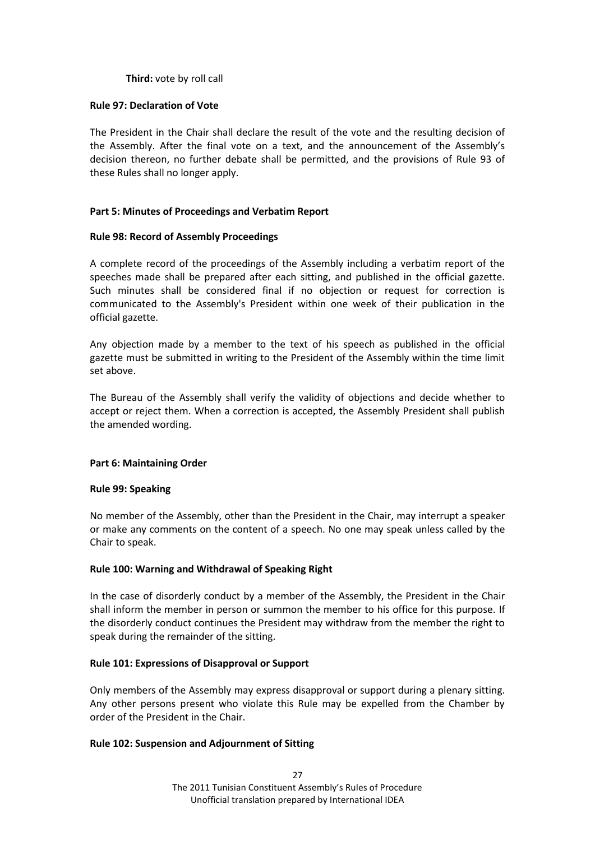## **Third:** vote by roll call

### <span id="page-26-0"></span>**Rule 97: Declaration of Vote**

The President in the Chair shall declare the result of the vote and the resulting decision of the Assembly. After the final vote on a text, and the announcement of the Assembly's decision thereon, no further debate shall be permitted, and the provisions of Rule 93 of these Rules shall no longer apply.

### <span id="page-26-1"></span>**Part 5: Minutes of Proceedings and Verbatim Report**

### <span id="page-26-2"></span>**Rule 98: Record of Assembly Proceedings**

A complete record of the proceedings of the Assembly including a verbatim report of the speeches made shall be prepared after each sitting, and published in the official gazette. Such minutes shall be considered final if no objection or request for correction is communicated to the Assembly's President within one week of their publication in the official gazette.

Any objection made by a member to the text of his speech as published in the official gazette must be submitted in writing to the President of the Assembly within the time limit set above.

The Bureau of the Assembly shall verify the validity of objections and decide whether to accept or reject them. When a correction is accepted, the Assembly President shall publish the amended wording.

#### <span id="page-26-3"></span>**Part 6: Maintaining Order**

#### <span id="page-26-4"></span>**Rule 99: Speaking**

No member of the Assembly, other than the President in the Chair, may interrupt a speaker or make any comments on the content of a speech. No one may speak unless called by the Chair to speak.

#### <span id="page-26-5"></span>**Rule 100: Warning and Withdrawal of Speaking Right**

In the case of disorderly conduct by a member of the Assembly, the President in the Chair shall inform the member in person or summon the member to his office for this purpose. If the disorderly conduct continues the President may withdraw from the member the right to speak during the remainder of the sitting.

## <span id="page-26-6"></span>**Rule 101: Expressions of Disapproval or Support**

Only members of the Assembly may express disapproval or support during a plenary sitting. Any other persons present who violate this Rule may be expelled from the Chamber by order of the President in the Chair.

#### <span id="page-26-7"></span>**Rule 102: Suspension and Adjournment of Sitting**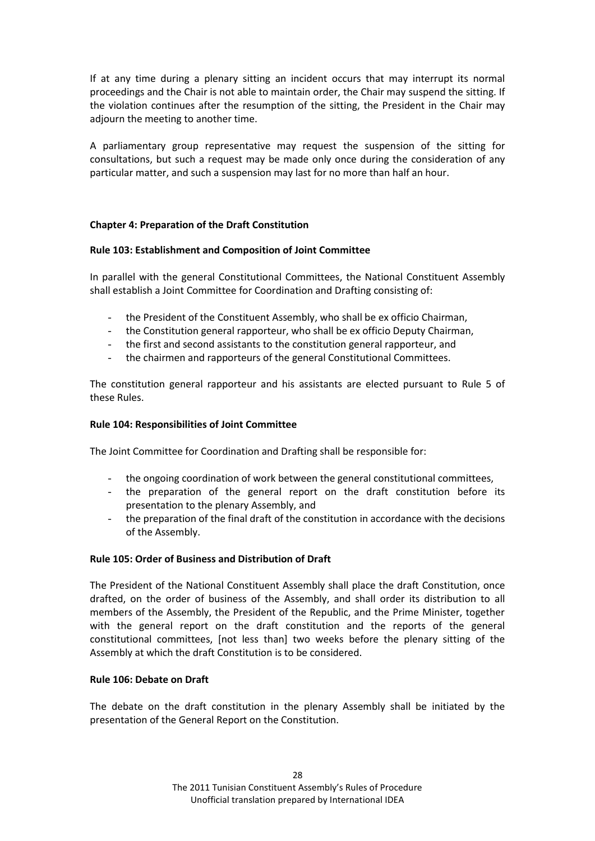If at any time during a plenary sitting an incident occurs that may interrupt its normal proceedings and the Chair is not able to maintain order, the Chair may suspend the sitting. If the violation continues after the resumption of the sitting, the President in the Chair may adjourn the meeting to another time.

A parliamentary group representative may request the suspension of the sitting for consultations, but such a request may be made only once during the consideration of any particular matter, and such a suspension may last for no more than half an hour.

# <span id="page-27-0"></span>**Chapter 4: Preparation of the Draft Constitution**

## <span id="page-27-1"></span>**Rule 103: Establishment and Composition of Joint Committee**

In parallel with the general Constitutional Committees, the National Constituent Assembly shall establish a Joint Committee for Coordination and Drafting consisting of:

- the President of the Constituent Assembly, who shall be ex officio Chairman,
- the Constitution general rapporteur, who shall be ex officio Deputy Chairman,
- the first and second assistants to the constitution general rapporteur, and
- the chairmen and rapporteurs of the general Constitutional Committees.

The constitution general rapporteur and his assistants are elected pursuant to Rule 5 of these Rules.

### <span id="page-27-2"></span>**Rule 104: Responsibilities of Joint Committee**

The Joint Committee for Coordination and Drafting shall be responsible for:

- the ongoing coordination of work between the general constitutional committees,
- the preparation of the general report on the draft constitution before its presentation to the plenary Assembly, and
- the preparation of the final draft of the constitution in accordance with the decisions of the Assembly.

## <span id="page-27-3"></span>**Rule 105: Order of Business and Distribution of Draft**

The President of the National Constituent Assembly shall place the draft Constitution, once drafted, on the order of business of the Assembly, and shall order its distribution to all members of the Assembly, the President of the Republic, and the Prime Minister, together with the general report on the draft constitution and the reports of the general constitutional committees, [not less than] two weeks before the plenary sitting of the Assembly at which the draft Constitution is to be considered.

#### <span id="page-27-4"></span>**Rule 106: Debate on Draft**

The debate on the draft constitution in the plenary Assembly shall be initiated by the presentation of the General Report on the Constitution.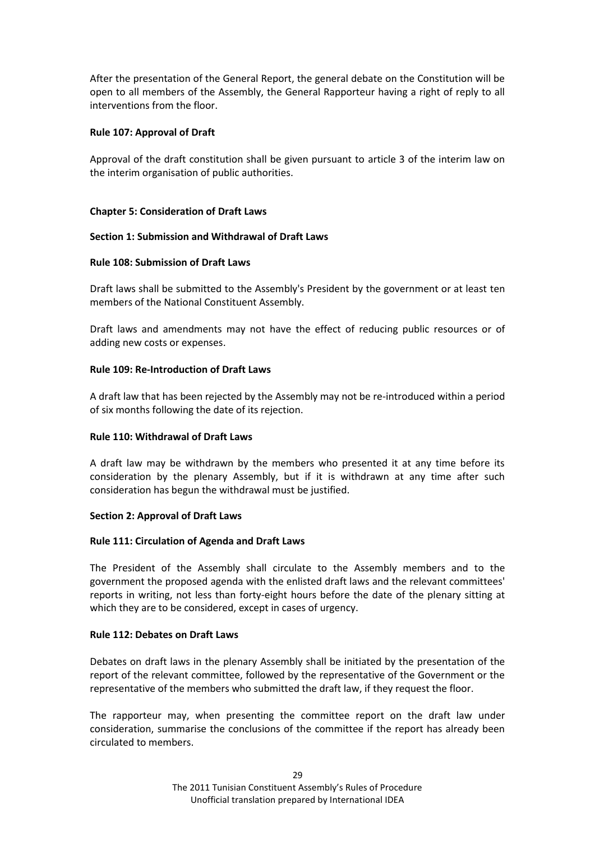After the presentation of the General Report, the general debate on the Constitution will be open to all members of the Assembly, the General Rapporteur having a right of reply to all interventions from the floor.

# <span id="page-28-0"></span>**Rule 107: Approval of Draft**

Approval of the draft constitution shall be given pursuant to article 3 of the interim law on the interim organisation of public authorities.

# <span id="page-28-1"></span>**Chapter 5: Consideration of Draft Laws**

# <span id="page-28-2"></span>**Section 1: Submission and Withdrawal of Draft Laws**

# <span id="page-28-3"></span>**Rule 108: Submission of Draft Laws**

Draft laws shall be submitted to the Assembly's President by the government or at least ten members of the National Constituent Assembly.

Draft laws and amendments may not have the effect of reducing public resources or of adding new costs or expenses.

# <span id="page-28-4"></span>**Rule 109: Re-Introduction of Draft Laws**

A draft law that has been rejected by the Assembly may not be re-introduced within a period of six months following the date of its rejection.

## <span id="page-28-5"></span>**Rule 110: Withdrawal of Draft Laws**

A draft law may be withdrawn by the members who presented it at any time before its consideration by the plenary Assembly, but if it is withdrawn at any time after such consideration has begun the withdrawal must be justified.

## <span id="page-28-6"></span>**Section 2: Approval of Draft Laws**

## <span id="page-28-7"></span>**Rule 111: Circulation of Agenda and Draft Laws**

The President of the Assembly shall circulate to the Assembly members and to the government the proposed agenda with the enlisted draft laws and the relevant committees' reports in writing, not less than forty-eight hours before the date of the plenary sitting at which they are to be considered, except in cases of urgency.

## <span id="page-28-8"></span>**Rule 112: Debates on Draft Laws**

Debates on draft laws in the plenary Assembly shall be initiated by the presentation of the report of the relevant committee, followed by the representative of the Government or the representative of the members who submitted the draft law, if they request the floor.

The rapporteur may, when presenting the committee report on the draft law under consideration, summarise the conclusions of the committee if the report has already been circulated to members.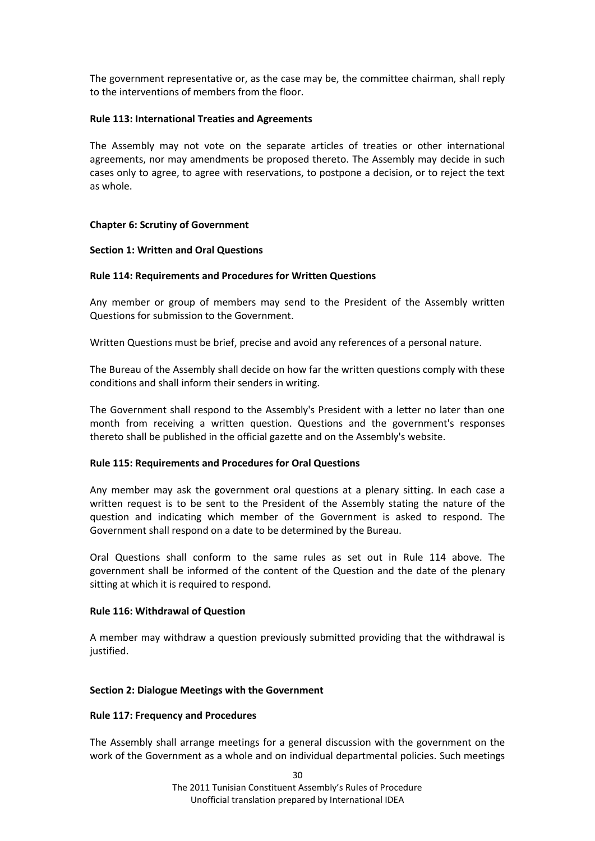The government representative or, as the case may be, the committee chairman, shall reply to the interventions of members from the floor.

### <span id="page-29-0"></span>**Rule 113: International Treaties and Agreements**

The Assembly may not vote on the separate articles of treaties or other international agreements, nor may amendments be proposed thereto. The Assembly may decide in such cases only to agree, to agree with reservations, to postpone a decision, or to reject the text as whole.

### <span id="page-29-1"></span>**Chapter 6: Scrutiny of Government**

#### <span id="page-29-2"></span>**Section 1: Written and Oral Questions**

### <span id="page-29-3"></span>**Rule 114: Requirements and Procedures for Written Questions**

Any member or group of members may send to the President of the Assembly written Questions for submission to the Government.

Written Questions must be brief, precise and avoid any references of a personal nature.

The Bureau of the Assembly shall decide on how far the written questions comply with these conditions and shall inform their senders in writing.

The Government shall respond to the Assembly's President with a letter no later than one month from receiving a written question. Questions and the government's responses thereto shall be published in the official gazette and on the Assembly's website.

#### <span id="page-29-4"></span>**Rule 115: Requirements and Procedures for Oral Questions**

Any member may ask the government oral questions at a plenary sitting. In each case a written request is to be sent to the President of the Assembly stating the nature of the question and indicating which member of the Government is asked to respond. The Government shall respond on a date to be determined by the Bureau.

Oral Questions shall conform to the same rules as set out in Rule 114 above. The government shall be informed of the content of the Question and the date of the plenary sitting at which it is required to respond.

#### <span id="page-29-5"></span>**Rule 116: Withdrawal of Question**

A member may withdraw a question previously submitted providing that the withdrawal is justified.

#### <span id="page-29-6"></span>**Section 2: Dialogue Meetings with the Government**

#### <span id="page-29-7"></span>**Rule 117: Frequency and Procedures**

The Assembly shall arrange meetings for a general discussion with the government on the work of the Government as a whole and on individual departmental policies. Such meetings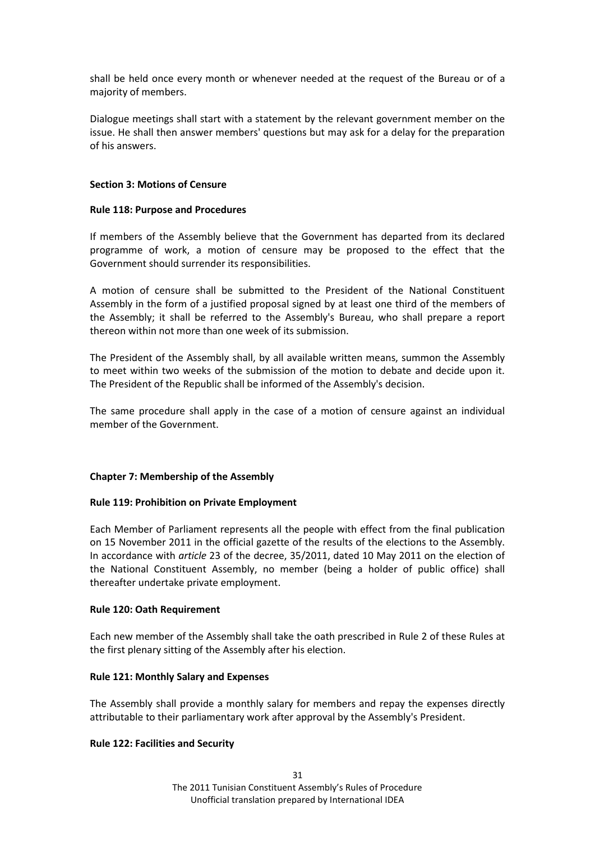shall be held once every month or whenever needed at the request of the Bureau or of a majority of members.

Dialogue meetings shall start with a statement by the relevant government member on the issue. He shall then answer members' questions but may ask for a delay for the preparation of his answers.

### <span id="page-30-0"></span>**Section 3: Motions of Censure**

### <span id="page-30-1"></span>**Rule 118: Purpose and Procedures**

If members of the Assembly believe that the Government has departed from its declared programme of work, a motion of censure may be proposed to the effect that the Government should surrender its responsibilities.

A motion of censure shall be submitted to the President of the National Constituent Assembly in the form of a justified proposal signed by at least one third of the members of the Assembly; it shall be referred to the Assembly's Bureau, who shall prepare a report thereon within not more than one week of its submission.

The President of the Assembly shall, by all available written means, summon the Assembly to meet within two weeks of the submission of the motion to debate and decide upon it. The President of the Republic shall be informed of the Assembly's decision.

The same procedure shall apply in the case of a motion of censure against an individual member of the Government.

## <span id="page-30-2"></span>**Chapter 7: Membership of the Assembly**

## <span id="page-30-3"></span>**Rule 119: Prohibition on Private Employment**

Each Member of Parliament represents all the people with effect from the final publication on 15 November 2011 in the official gazette of the results of the elections to the Assembly. In accordance with *article* 23 of the decree, 35/2011, dated 10 May 2011 on the election of the National Constituent Assembly, no member (being a holder of public office) shall thereafter undertake private employment.

#### <span id="page-30-4"></span>**Rule 120: Oath Requirement**

Each new member of the Assembly shall take the oath prescribed in Rule 2 of these Rules at the first plenary sitting of the Assembly after his election.

#### <span id="page-30-5"></span>**Rule 121: Monthly Salary and Expenses**

The Assembly shall provide a monthly salary for members and repay the expenses directly attributable to their parliamentary work after approval by the Assembly's President.

#### <span id="page-30-6"></span>**Rule 122: Facilities and Security**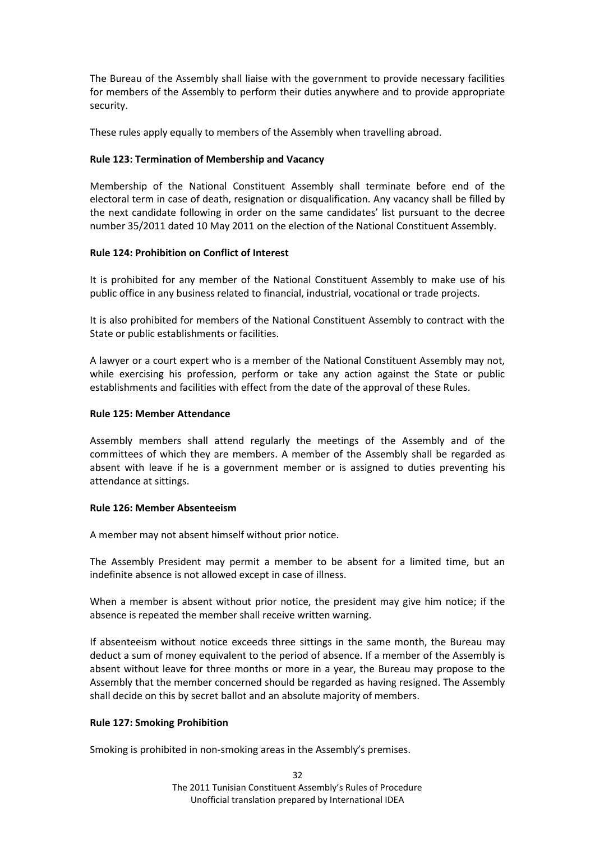The Bureau of the Assembly shall liaise with the government to provide necessary facilities for members of the Assembly to perform their duties anywhere and to provide appropriate security.

These rules apply equally to members of the Assembly when travelling abroad.

# <span id="page-31-0"></span>**Rule 123: Termination of Membership and Vacancy**

Membership of the National Constituent Assembly shall terminate before end of the electoral term in case of death, resignation or disqualification. Any vacancy shall be filled by the next candidate following in order on the same candidates' list pursuant to the decree number 35/2011 dated 10 May 2011 on the election of the National Constituent Assembly.

# <span id="page-31-1"></span>**Rule 124: Prohibition on Conflict of Interest**

It is prohibited for any member of the National Constituent Assembly to make use of his public office in any business related to financial, industrial, vocational or trade projects.

It is also prohibited for members of the National Constituent Assembly to contract with the State or public establishments or facilities.

A lawyer or a court expert who is a member of the National Constituent Assembly may not, while exercising his profession, perform or take any action against the State or public establishments and facilities with effect from the date of the approval of these Rules.

# <span id="page-31-2"></span>**Rule 125: Member Attendance**

Assembly members shall attend regularly the meetings of the Assembly and of the committees of which they are members. A member of the Assembly shall be regarded as absent with leave if he is a government member or is assigned to duties preventing his attendance at sittings.

## <span id="page-31-3"></span>**Rule 126: Member Absenteeism**

A member may not absent himself without prior notice.

The Assembly President may permit a member to be absent for a limited time, but an indefinite absence is not allowed except in case of illness.

When a member is absent without prior notice, the president may give him notice; if the absence is repeated the member shall receive written warning.

If absenteeism without notice exceeds three sittings in the same month, the Bureau may deduct a sum of money equivalent to the period of absence. If a member of the Assembly is absent without leave for three months or more in a year, the Bureau may propose to the Assembly that the member concerned should be regarded as having resigned. The Assembly shall decide on this by secret ballot and an absolute majority of members.

# <span id="page-31-4"></span>**Rule 127: Smoking Prohibition**

Smoking is prohibited in non-smoking areas in the Assembly's premises.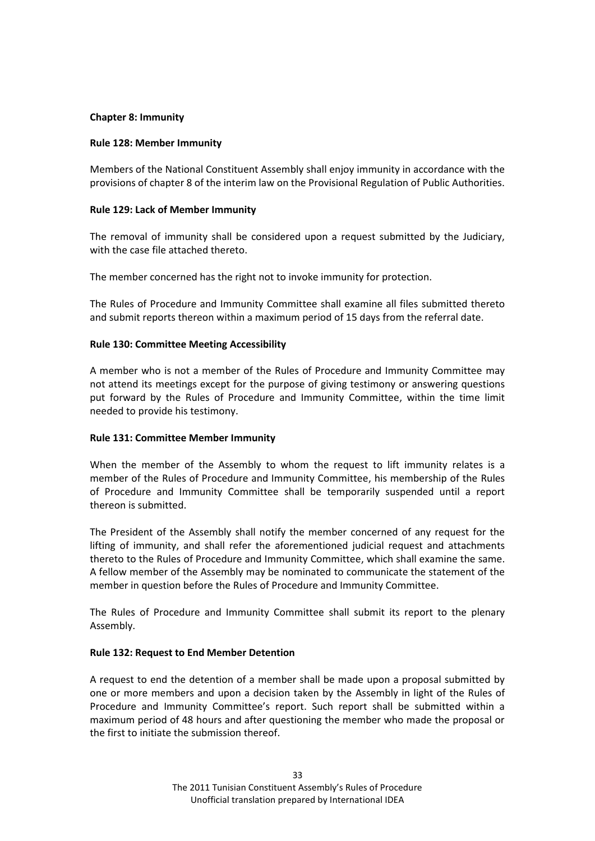### <span id="page-32-0"></span>**Chapter 8: Immunity**

### <span id="page-32-1"></span>**Rule 128: Member Immunity**

Members of the National Constituent Assembly shall enjoy immunity in accordance with the provisions of chapter 8 of the interim law on the Provisional Regulation of Public Authorities.

### <span id="page-32-2"></span>**Rule 129: Lack of Member Immunity**

The removal of immunity shall be considered upon a request submitted by the Judiciary, with the case file attached thereto.

The member concerned has the right not to invoke immunity for protection.

The Rules of Procedure and Immunity Committee shall examine all files submitted thereto and submit reports thereon within a maximum period of 15 days from the referral date.

### <span id="page-32-3"></span>**Rule 130: Committee Meeting Accessibility**

A member who is not a member of the Rules of Procedure and Immunity Committee may not attend its meetings except for the purpose of giving testimony or answering questions put forward by the Rules of Procedure and Immunity Committee, within the time limit needed to provide his testimony.

## <span id="page-32-4"></span>**Rule 131: Committee Member Immunity**

When the member of the Assembly to whom the request to lift immunity relates is a member of the Rules of Procedure and Immunity Committee, his membership of the Rules of Procedure and Immunity Committee shall be temporarily suspended until a report thereon is submitted.

The President of the Assembly shall notify the member concerned of any request for the lifting of immunity, and shall refer the aforementioned judicial request and attachments thereto to the Rules of Procedure and Immunity Committee, which shall examine the same. A fellow member of the Assembly may be nominated to communicate the statement of the member in question before the Rules of Procedure and Immunity Committee.

The Rules of Procedure and Immunity Committee shall submit its report to the plenary Assembly.

#### <span id="page-32-5"></span>**Rule 132: Request to End Member Detention**

A request to end the detention of a member shall be made upon a proposal submitted by one or more members and upon a decision taken by the Assembly in light of the Rules of Procedure and Immunity Committee's report. Such report shall be submitted within a maximum period of 48 hours and after questioning the member who made the proposal or the first to initiate the submission thereof.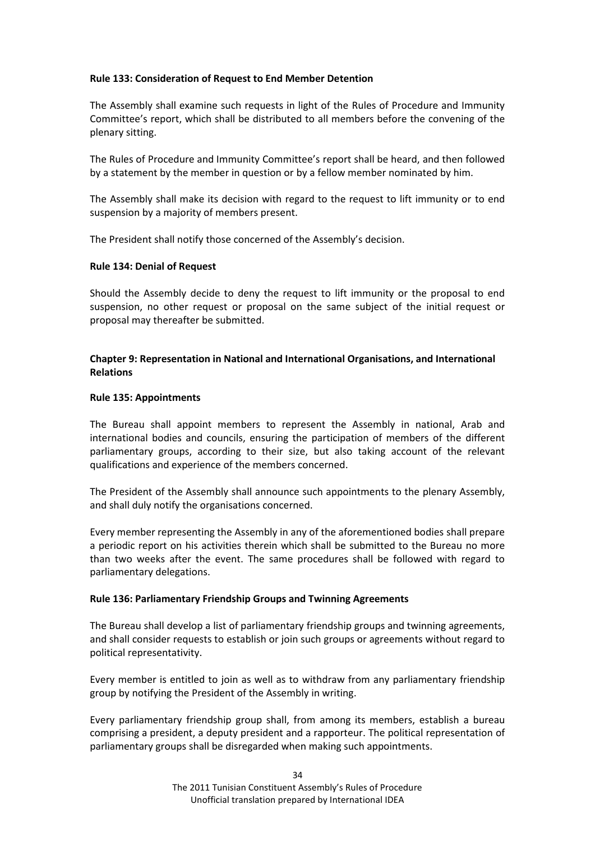## <span id="page-33-0"></span>**Rule 133: Consideration of Request to End Member Detention**

The Assembly shall examine such requests in light of the Rules of Procedure and Immunity Committee's report, which shall be distributed to all members before the convening of the plenary sitting.

The Rules of Procedure and Immunity Committee's report shall be heard, and then followed by a statement by the member in question or by a fellow member nominated by him.

The Assembly shall make its decision with regard to the request to lift immunity or to end suspension by a majority of members present.

The President shall notify those concerned of the Assembly's decision.

## <span id="page-33-1"></span>**Rule 134: Denial of Request**

Should the Assembly decide to deny the request to lift immunity or the proposal to end suspension, no other request or proposal on the same subject of the initial request or proposal may thereafter be submitted.

# <span id="page-33-2"></span>**Chapter 9: Representation in National and International Organisations, and International Relations**

## <span id="page-33-3"></span>**Rule 135: Appointments**

The Bureau shall appoint members to represent the Assembly in national, Arab and international bodies and councils, ensuring the participation of members of the different parliamentary groups, according to their size, but also taking account of the relevant qualifications and experience of the members concerned.

The President of the Assembly shall announce such appointments to the plenary Assembly, and shall duly notify the organisations concerned.

Every member representing the Assembly in any of the aforementioned bodies shall prepare a periodic report on his activities therein which shall be submitted to the Bureau no more than two weeks after the event. The same procedures shall be followed with regard to parliamentary delegations.

## <span id="page-33-4"></span>**Rule 136: Parliamentary Friendship Groups and Twinning Agreements**

The Bureau shall develop a list of parliamentary friendship groups and twinning agreements, and shall consider requests to establish or join such groups or agreements without regard to political representativity.

Every member is entitled to join as well as to withdraw from any parliamentary friendship group by notifying the President of the Assembly in writing.

Every parliamentary friendship group shall, from among its members, establish a bureau comprising a president, a deputy president and a rapporteur. The political representation of parliamentary groups shall be disregarded when making such appointments.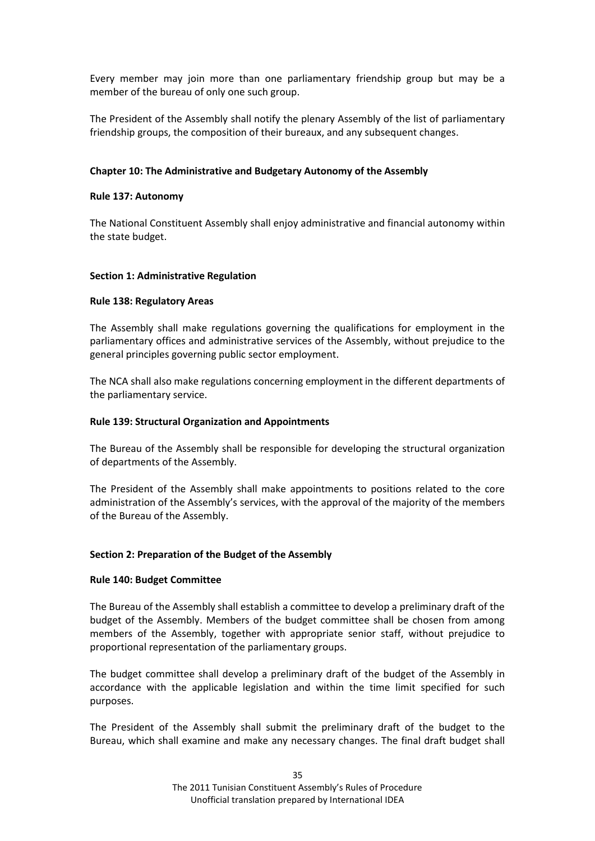Every member may join more than one parliamentary friendship group but may be a member of the bureau of only one such group.

The President of the Assembly shall notify the plenary Assembly of the list of parliamentary friendship groups, the composition of their bureaux, and any subsequent changes.

## <span id="page-34-0"></span>**Chapter 10: The Administrative and Budgetary Autonomy of the Assembly**

### <span id="page-34-1"></span>**Rule 137: Autonomy**

The National Constituent Assembly shall enjoy administrative and financial autonomy within the state budget.

### <span id="page-34-2"></span>**Section 1: Administrative Regulation**

### <span id="page-34-3"></span>**Rule 138: Regulatory Areas**

The Assembly shall make regulations governing the qualifications for employment in the parliamentary offices and administrative services of the Assembly, without prejudice to the general principles governing public sector employment.

The NCA shall also make regulations concerning employment in the different departments of the parliamentary service.

### <span id="page-34-4"></span>**Rule 139: Structural Organization and Appointments**

The Bureau of the Assembly shall be responsible for developing the structural organization of departments of the Assembly.

The President of the Assembly shall make appointments to positions related to the core administration of the Assembly's services, with the approval of the majority of the members of the Bureau of the Assembly.

## <span id="page-34-5"></span>**Section 2: Preparation of the Budget of the Assembly**

#### <span id="page-34-6"></span>**Rule 140: Budget Committee**

The Bureau of the Assembly shall establish a committee to develop a preliminary draft of the budget of the Assembly. Members of the budget committee shall be chosen from among members of the Assembly, together with appropriate senior staff, without prejudice to proportional representation of the parliamentary groups.

The budget committee shall develop a preliminary draft of the budget of the Assembly in accordance with the applicable legislation and within the time limit specified for such purposes.

The President of the Assembly shall submit the preliminary draft of the budget to the Bureau, which shall examine and make any necessary changes. The final draft budget shall